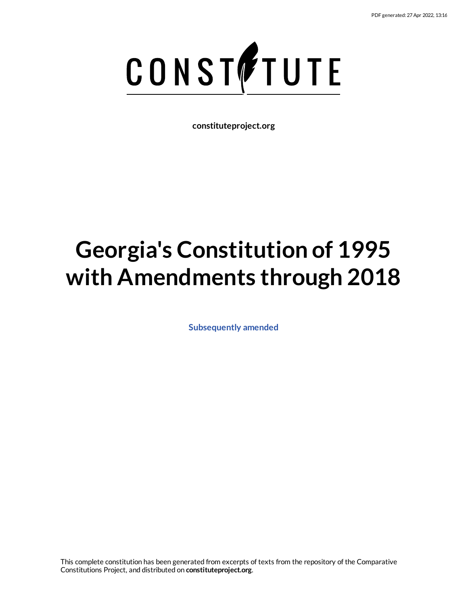

**constituteproject.org**

# **Georgia's Constitution of 1995 with Amendments through 2018**

**[Subsequently](https://www.constituteproject.org/Asia/Georgia_2018?lang=en) amended**

This complete constitution has been generated from excerpts of texts from the repository of the Comparative Constitutions Project, and distributed on **constituteproject.org**.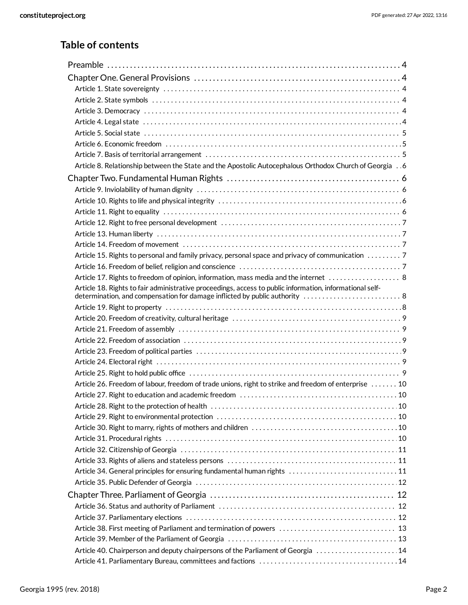# **Table of contents**

| Article 8. Relationship between the State and the Apostolic Autocephalous Orthodox Church of Georgia 6   |  |
|----------------------------------------------------------------------------------------------------------|--|
|                                                                                                          |  |
|                                                                                                          |  |
|                                                                                                          |  |
|                                                                                                          |  |
|                                                                                                          |  |
|                                                                                                          |  |
|                                                                                                          |  |
| Article 15. Rights to personal and family privacy, personal space and privacy of communication 7         |  |
|                                                                                                          |  |
| Article 17. Rights to freedom of opinion, information, mass media and the internet  8                    |  |
| Article 18. Rights to fair administrative proceedings, access to public information, informational self- |  |
|                                                                                                          |  |
|                                                                                                          |  |
|                                                                                                          |  |
|                                                                                                          |  |
|                                                                                                          |  |
|                                                                                                          |  |
|                                                                                                          |  |
| Article 26. Freedom of labour, freedom of trade unions, right to strike and freedom of enterprise 10     |  |
|                                                                                                          |  |
|                                                                                                          |  |
|                                                                                                          |  |
|                                                                                                          |  |
|                                                                                                          |  |
|                                                                                                          |  |
|                                                                                                          |  |
| Article 34. General principles for ensuring fundamental human rights  11                                 |  |
|                                                                                                          |  |
|                                                                                                          |  |
|                                                                                                          |  |
|                                                                                                          |  |
|                                                                                                          |  |
|                                                                                                          |  |
| Article 40. Chairperson and deputy chairpersons of the Parliament of Georgia  14                         |  |
|                                                                                                          |  |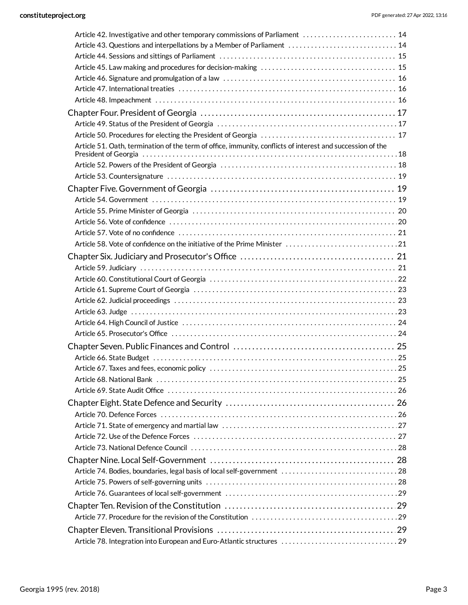| Article 42. Investigative and other temporary commissions of Parliament  14                                |  |
|------------------------------------------------------------------------------------------------------------|--|
| Article 43. Questions and interpellations by a Member of Parliament  14                                    |  |
|                                                                                                            |  |
|                                                                                                            |  |
|                                                                                                            |  |
|                                                                                                            |  |
|                                                                                                            |  |
|                                                                                                            |  |
|                                                                                                            |  |
|                                                                                                            |  |
| Article 51. Oath, termination of the term of office, immunity, conflicts of interest and succession of the |  |
|                                                                                                            |  |
|                                                                                                            |  |
|                                                                                                            |  |
|                                                                                                            |  |
|                                                                                                            |  |
|                                                                                                            |  |
|                                                                                                            |  |
|                                                                                                            |  |
|                                                                                                            |  |
|                                                                                                            |  |
|                                                                                                            |  |
|                                                                                                            |  |
|                                                                                                            |  |
|                                                                                                            |  |
|                                                                                                            |  |
|                                                                                                            |  |
|                                                                                                            |  |
|                                                                                                            |  |
|                                                                                                            |  |
|                                                                                                            |  |
|                                                                                                            |  |
|                                                                                                            |  |
|                                                                                                            |  |
|                                                                                                            |  |
|                                                                                                            |  |
|                                                                                                            |  |
|                                                                                                            |  |
|                                                                                                            |  |
|                                                                                                            |  |
|                                                                                                            |  |
|                                                                                                            |  |
|                                                                                                            |  |
|                                                                                                            |  |
|                                                                                                            |  |
|                                                                                                            |  |
| Article 78. Integration into European and Euro-Atlantic structures  29                                     |  |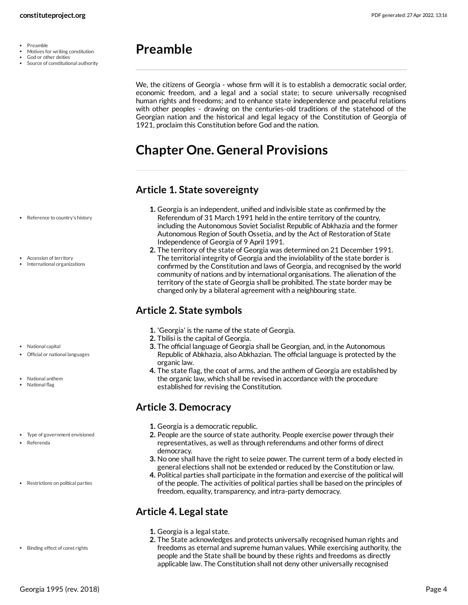- $\bullet$ Preamble
- Motives for writing constitution
- God or other deities
- Source of constitutional authority

# <span id="page-3-0"></span>**Preamble**

We, the citizens of Georgia - whose firm will it is to establish a democratic social order, economic freedom, and a legal and a social state; to secure universally recognised human rights and freedoms; and to enhance state independence and peaceful relations with other peoples - drawing on the centuries-old traditions of the statehood of the Georgian nation and the historical and legal legacy of the Constitution of Georgia of 1921, proclaim this Constitution before God and the nation.

# <span id="page-3-1"></span>**Chapter One. General Provisions**

# <span id="page-3-2"></span>**Article 1. State sovereignty**

- **1.** Georgia is an independent, unified and indivisible state as confirmed by the Referendum of 31 March 1991 held in the entire territory of the country, including the Autonomous Soviet Socialist Republic of Abkhazia and the former Autonomous Region of South Ossetia, and by the Act of Restoration of State Independence of Georgia of 9 April 1991.
	- **2.** The territory of the state of Georgia was determined on 21 December 1991. The territorial integrity of Georgia and the inviolability of the state border is confirmed by the Constitution and laws of Georgia, and recognised by the world community of nations and by international organisations. The alienation of the territory of the state of Georgia shall be prohibited. The state border may be changed only by a bilateral agreement with a neighbouring state.

# <span id="page-3-3"></span>**Article 2. State symbols**

- **1.** 'Georgia' is the name of the state of Georgia.
- **2.** Tbilisi is the capital of Georgia.
- **3.** The official language of Georgia shall be Georgian, and, in the Autonomous Republic of Abkhazia, also Abkhazian. The official language is protected by the organic law.
- **4.** The state flag, the coat of arms, and the anthem of Georgia are established by the organic law, which shall be revised in accordance with the procedure established for revising the Constitution.

# <span id="page-3-4"></span>**Article 3. Democracy**

- **1.** Georgia is a democratic republic.
- **2.** People are the source of state authority. People exercise power through their representatives, as well as through referendums and other forms of direct democracy.
- **3.** No one shall have the right to seize power. The current term of a body elected in general elections shall not be extended or reduced by the Constitution or law.
- **4.** Political parties shall participate in the formation and exercise of the political will of the people. The activities of political parties shall be based on the principles of freedom, equality, transparency, and intra-party democracy.

# <span id="page-3-5"></span>**Article 4. Legal state**

- **1.** Georgia is a legal state.
- **2.** The State acknowledges and protects universally recognised human rights and freedoms as eternal and supreme human values. While exercising authority, the people and the State shall be bound by these rights and freedoms as directly applicable law. The Constitution shall not deny other universally recognised
- Reference to country's history
- Accession of territory
- International organizations

- National capital
- Official or national languages
- National anthem
- National flag
- Type of government envisioned
- Referenda
- Restrictions on political parties

• Binding effect of const rights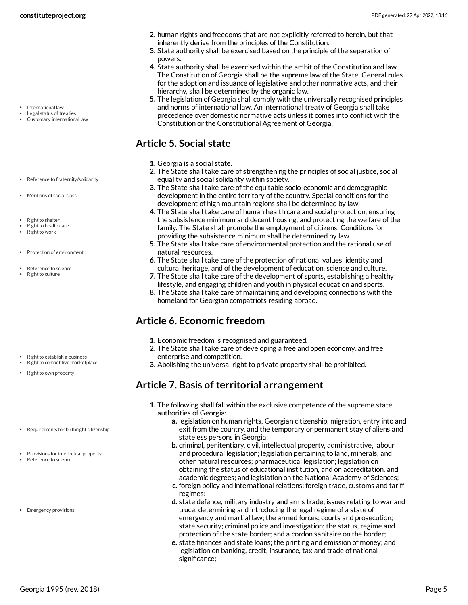- International law
- Legal status of treaties Customary international law
- Reference to fraternity/solidarity
- Mentions of social class
- Right to shelter
- Right to health care
- Right to work
- Protection of environment
- Reference to science
- Right to culture

- Right to establish a business
- Right to competitive marketplace
- Right to own property
- Requirements for birthright citizenship
- Provisions for intellectual property
- Reference to science
- Emergency provisions
- **2.** human rights and freedoms that are not explicitly referred to herein, but that inherently derive from the principles of the Constitution.
- **3.** State authority shall be exercised based on the principle of the separation of powers.
- **4.** State authority shall be exercised within the ambit of the Constitution and law. The Constitution of Georgia shall be the supreme law of the State. General rules for the adoption and issuance of legislative and other normative acts, and their hierarchy, shall be determined by the organic law.
- **5.** The legislation of Georgia shall comply with the universally recognised principles and norms of international law. An international treaty of Georgia shall take precedence over domestic normative acts unless it comes into conflict with the Constitution or the Constitutional Agreement of Georgia.

# <span id="page-4-0"></span>**Article 5. Social state**

- **1.** Georgia is a social state.
- **2.** The State shall take care of strengthening the principles of social justice, social equality and social solidarity within society.
- **3.** The State shall take care of the equitable socio-economic and demographic development in the entire territory of the country. Special conditions for the development of high mountain regions shall be determined by law.
- **4.** The State shall take care of human health care and social protection, ensuring the subsistence minimum and decent housing, and protecting the welfare of the family. The State shall promote the employment of citizens. Conditions for providing the subsistence minimum shall be determined by law.
- **5.** The State shall take care of environmental protection and the rational use of natural resources.
- **6.** The State shall take care of the protection of national values, identity and cultural heritage, and of the development of education, science and culture.
- **7.** The State shall take care of the development of sports, establishing a healthy lifestyle, and engaging children and youth in physical education and sports.
- **8.** The State shall take care of maintaining and developing connections with the homeland for Georgian compatriots residing abroad.

# <span id="page-4-1"></span>**Article 6. Economic freedom**

- **1.** Economic freedom is recognised and guaranteed.
- **2.** The State shall take care of developing a free and open economy, and free enterprise and competition.
- **3.** Abolishing the universal right to private property shall be prohibited.

# <span id="page-4-2"></span>**Article 7. Basis of territorial arrangement**

- **1.** The following shall fall within the exclusive competence of the supreme state authorities of Georgia:
	- **a.** legislation on human rights, Georgian citizenship, migration, entry into and exit from the country, and the temporary or permanent stay of aliens and stateless persons in Georgia;
	- **b.** criminal, penitentiary, civil, intellectual property, administrative, labour and procedural legislation; legislation pertaining to land, minerals, and other natural resources; pharmaceutical legislation; legislation on obtaining the status of educational institution, and on accreditation, and academic degrees; and legislation on the National Academy of Sciences;
	- **c.** foreign policy and international relations; foreign trade, customs and tariff regimes;
	- **d.** state defence, military industry and arms trade; issues relating to war and truce; determining and introducing the legal regime of a state of emergency and martial law; the armed forces; courts and prosecution; state security; criminal police and investigation; the status, regime and protection of the state border; and a cordon sanitaire on the border;
	- **e.** state finances and state loans; the printing and emission of money; and legislation on banking, credit, insurance, tax and trade of national significance;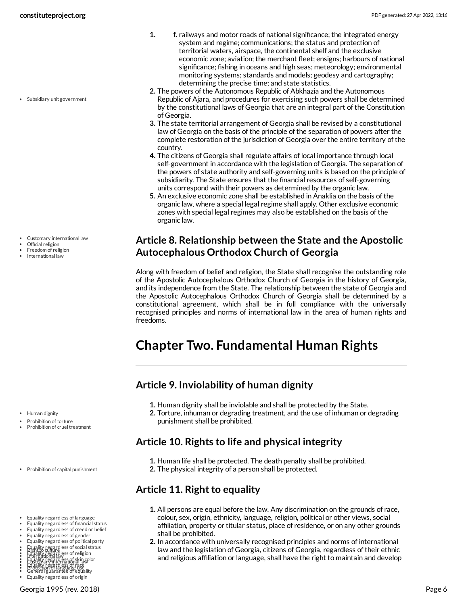Subsidiary unit government

- **1. f.** railways and motor roads of national significance; the integrated energy system and regime; communications; the status and protection of territorial waters, airspace, the continental shelf and the exclusive economic zone; aviation; the merchant fleet; ensigns; harbours of national significance; fishing in oceans and high seas; meteorology; environmental monitoring systems; standards and models; geodesy and cartography; determining the precise time; and state statistics.
- **2.** The powers of the Autonomous Republic of Abkhazia and the Autonomous Republic of Ajara, and procedures for exercising such powers shall be determined by the constitutional laws of Georgia that are an integral part of the Constitution of Georgia.
- **3.** The state territorial arrangement of Georgia shall be revised by a constitutional law of Georgia on the basis of the principle of the separation of powers after the complete restoration of the jurisdiction of Georgia over the entire territory of the country.
- **4.** The citizens of Georgia shall regulate affairs of local importance through local self-government in accordance with the legislation of Georgia. The separation of the powers of state authority and self-governing units is based on the principle of subsidiarity. The State ensures that the financial resources of self-governing units correspond with their powers as determined by the organic law.
- **5.** An exclusive economic zone shall be established in Anaklia on the basis of the organic law, where a special legal regime shall apply. Other exclusive economic zones with special legal regimes may also be established on the basis of the organic law.

### <span id="page-5-0"></span>**Article 8. Relationship between the State and the Apostolic Autocephalous Orthodox Church of Georgia**

Along with freedom of belief and religion, the State shall recognise the outstanding role of the Apostolic Autocephalous Orthodox Church of Georgia in the history of Georgia, and its independence from the State. The relationship between the state of Georgia and the Apostolic Autocephalous Orthodox Church of Georgia shall be determined by a constitutional agreement, which shall be in full compliance with the universally recognised principles and norms of international law in the area of human rights and freedoms.

# <span id="page-5-1"></span>**Chapter Two. Fundamental Human Rights**

# <span id="page-5-2"></span>**Article 9. Inviolability of human dignity**

- **1.** Human dignity shall be inviolable and shall be protected by the State.
- **2.** Torture, inhuman or degrading treatment, and the use of inhuman or degrading punishment shall be prohibited.

# <span id="page-5-3"></span>**Article 10. Rights to life and physical integrity**

**1.** Human life shall be protected. The death penalty shall be prohibited. **2.** The physical integrity of a person shall be protected.

# <span id="page-5-4"></span>**Article 11. Right to equality**

- **1.** All persons are equal before the law. Any discrimination on the grounds of race, colour, sex, origin, ethnicity, language, religion, political or other views, social affiliation, property or titular status, place of residence, or on any other grounds shall be prohibited.
- **2.** In accordance with universally recognised principles and norms of international law and the legislation of Georgia, citizens of Georgia, regardless of their ethnic and religious affiliation or language, shall have the right to maintain and develop

Customary international law

- Official religion
- Freedom of religion
- International law

• Human dignity

- Prohibition of torture
- Prohibition of cruel treatment

Prohibition of capital punishment

- Equality regardless of language
- Equality regardless of financial status Equality regardless of creed or belief
- Equality regardless of gender



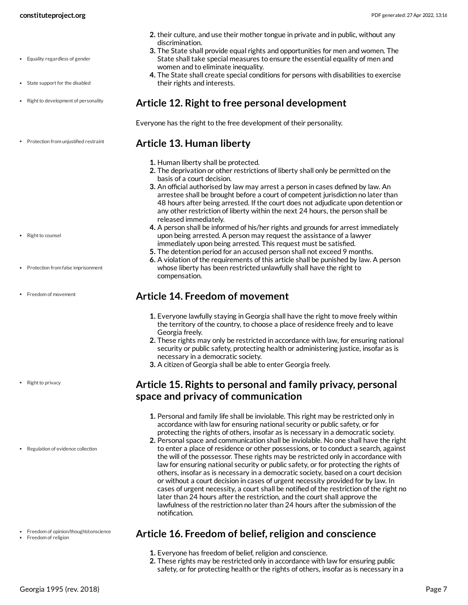- State support for the disabled
- Right to development of personality
- Protection from unjustified restraint
- <span id="page-6-1"></span>**Article 13. Human liberty**

their rights and interests.

discrimination.

**1.** Human liberty shall be protected.

women and to eliminate inequality.

<span id="page-6-0"></span>**Article 12. Right to free personal development**

Everyone has the right to the free development of their personality.

**2.** The deprivation or other restrictions of liberty shall only be permitted on the basis of a court decision.

**2.** their culture, and use their mother tongue in private and in public, without any

**3.** The State shall provide equal rights and opportunities for men and women. The State shall take special measures to ensure the essential equality of men and

**4.** The State shall create special conditions for persons with disabilities to exercise

- **3.** An official authorised by law may arrest a person in cases defined by law. An arrestee shall be brought before a court of competent jurisdiction no later than 48 hours after being arrested. If the court does not adjudicate upon detention or any other restriction of liberty within the next 24 hours, the person shall be released immediately.
- **4.** A person shall be informed of his/her rights and grounds for arrest immediately upon being arrested. A person may request the assistance of a lawyer immediately upon being arrested. This request must be satisfied.
- **5.** The detention period for an accused person shall not exceed 9 months.
- **6.** A violation of the requirements of this article shall be punished by law. A person whose liberty has been restricted unlawfully shall have the right to compensation.

#### <span id="page-6-2"></span>**Article 14. Freedom of movement**

- **1.** Everyone lawfully staying in Georgia shall have the right to move freely within the territory of the country, to choose a place of residence freely and to leave Georgia freely.
- **2.** These rights may only be restricted in accordance with law, for ensuring national security or public safety, protecting health or administering justice, insofar as is necessary in a democratic society.
- **3.** A citizen of Georgia shall be able to enter Georgia freely.

### <span id="page-6-3"></span>**Article 15. Rights to personal and family privacy, personal space and privacy of communication**

- **1.** Personal and family life shall be inviolable. This right may be restricted only in accordance with law for ensuring national security or public safety, or for protecting the rights of others, insofar as is necessary in a democratic society.
- **2.** Personal space and communication shall be inviolable. No one shall have the right to enter a place of residence or other possessions, or to conduct a search, against the will of the possessor. These rights may be restricted only in accordance with law for ensuring national security or public safety, or for protecting the rights of others, insofar as is necessary in a democratic society, based on a court decision or without a court decision in cases of urgent necessity provided for by law. In cases of urgent necessity, a court shall be notified of the restriction of the right no later than 24 hours after the restriction, and the court shall approve the lawfulness of the restriction no later than 24 hours after the submission of the notification.

### <span id="page-6-4"></span>**Article 16. Freedom of belief, religion and conscience**

- **1.** Everyone has freedom of belief, religion and conscience.
- **2.** These rights may be restricted only in accordance with law for ensuring public safety, or for protecting health or the rights of others, insofar as is necessary in a
- Protection from false imprisonment
- Freedom of movement

- Right to privacy
- Regulation of evidence collection

• Freedom of opinion/thought/conscience • Freedom of religion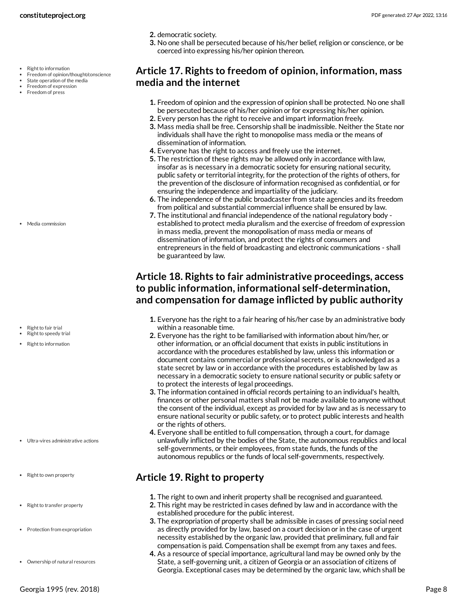- Right to information
- Freedom of opinion/thought/conscience
- State operation of the media Freedom of expression
- Freedom of press

• Media commission

- Right to fair trial
- Right to speedy trial
- $\cdot$  Right to information

- Ultra-vires administrative actions
- Right to own property
- Right to transfer property
- Protection from expropriation
- Ownership of natural resources
- **2.** democratic society.
- **3.** No one shall be persecuted because of his/her belief, religion or conscience, or be coerced into expressing his/her opinion thereon.

### <span id="page-7-0"></span>**Article 17. Rights to freedom of opinion, information, mass media and the internet**

- **1.** Freedom of opinion and the expression of opinion shall be protected. No one shall be persecuted because of his/her opinion or for expressing his/her opinion.
- **2.** Every person has the right to receive and impart information freely.
- **3.** Mass media shall be free. Censorship shall be inadmissible. Neither the State nor individuals shall have the right to monopolise mass media or the means of dissemination of information.
- **4.** Everyone has the right to access and freely use the internet.
- **5.** The restriction of these rights may be allowed only in accordance with law, insofar as is necessary in a democratic society for ensuring national security, public safety or territorial integrity, for the protection of the rights of others, for the prevention of the disclosure of information recognised as confidential, or for ensuring the independence and impartiality of the judiciary.
- **6.** The independence of the public broadcaster from state agencies and its freedom from political and substantial commercial influence shall be ensured by law.
- **7.** The institutional and financial independence of the national regulatory body established to protect media pluralism and the exercise of freedom of expression in mass media, prevent the monopolisation of mass media or means of dissemination of information, and protect the rights of consumers and entrepreneurs in the field of broadcasting and electronic communications - shall be guaranteed by law.

# <span id="page-7-1"></span>**Article 18. Rights to fair administrative proceedings, access to public information, informational self-determination, and compensation for damage inflicted by public authority**

- **1.** Everyone has the right to a fair hearing of his/her case by an administrative body within a reasonable time.
- **2.** Everyone has the right to be familiarised with information about him/her, or other information, or an official document that exists in public institutions in accordance with the procedures established by law, unless this information or document contains commercial or professional secrets, or is acknowledged as a state secret by law or in accordance with the procedures established by law as necessary in a democratic society to ensure national security or public safety or to protect the interests of legal proceedings.
- **3.** The information contained in official records pertaining to an individual's health, finances or other personal matters shall not be made available to anyone without the consent of the individual, except as provided for by law and as is necessary to ensure national security or public safety, or to protect public interests and health or the rights of others.
- **4.** Everyone shall be entitled to full compensation, through a court, for damage unlawfully inflicted by the bodies of the State, the autonomous republics and local self-governments, or their employees, from state funds, the funds of the autonomous republics or the funds of local self-governments, respectively.

### <span id="page-7-2"></span>**Article 19. Right to property**

- **1.** The right to own and inherit property shall be recognised and guaranteed.
- **2.** This right may be restricted in cases defined by law and in accordance with the established procedure for the public interest.
- **3.** The expropriation of property shall be admissible in cases of pressing social need as directly provided for by law, based on a court decision or in the case of urgent necessity established by the organic law, provided that preliminary, full and fair compensation is paid. Compensation shall be exempt from any taxes and fees.
- **4.** As a resource of special importance, agricultural land may be owned only by the State, a self-governing unit, a citizen of Georgia or an association of citizens of Georgia. Exceptional cases may be determined by the organic law, which shall be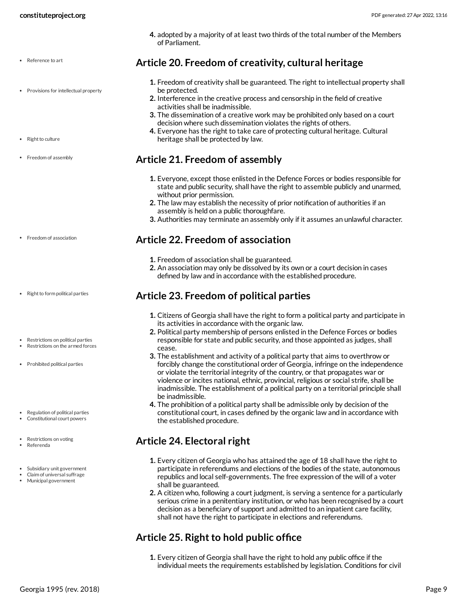- Reference to art
- Provisions for intellectual property
- Right to culture
- Freedom of assembly

- Freedom of association
- Right to form political parties
- Restrictions on political parties
- Restrictions on the armed forces
- Prohibited political parties
- Regulation of political parties
- Constitutional court powers
- Restrictions on voting
- Referenda
- Subsidiary unit government
- Claim of universal suffrage Municipal government

**4.** adopted by a majority of at least two thirds of the total number of the Members of Parliament.

### <span id="page-8-0"></span>**Article 20. Freedom of creativity, cultural heritage**

- **1.** Freedom of creativity shall be guaranteed. The right to intellectual property shall be protected.
- **2.** Interference in the creative process and censorship in the field of creative activities shall be inadmissible.
- **3.** The dissemination of a creative work may be prohibited only based on a court decision where such dissemination violates the rights of others.
- **4.** Everyone has the right to take care of protecting cultural heritage. Cultural heritage shall be protected by law.

### <span id="page-8-1"></span>**Article 21. Freedom of assembly**

- **1.** Everyone, except those enlisted in the Defence Forces or bodies responsible for state and public security, shall have the right to assemble publicly and unarmed, without prior permission.
- **2.** The law may establish the necessity of prior notification of authorities if an assembly is held on a public thoroughfare.
- **3.** Authorities may terminate an assembly only if it assumes an unlawful character.

#### <span id="page-8-2"></span>**Article 22. Freedom of association**

- **1.** Freedom of association shall be guaranteed.
- **2.** An association may only be dissolved by its own or a court decision in cases defined by law and in accordance with the established procedure.

### <span id="page-8-3"></span>**Article 23. Freedom of political parties**

- **1.** Citizens of Georgia shall have the right to form a political party and participate in its activities in accordance with the organic law.
- **2.** Political party membership of persons enlisted in the Defence Forces or bodies responsible for state and public security, and those appointed as judges, shall cease.
- **3.** The establishment and activity of a political party that aims to overthrow or forcibly change the constitutional order of Georgia, infringe on the independence or violate the territorial integrity of the country, or that propagates war or violence or incites national, ethnic, provincial, religious or social strife, shall be inadmissible. The establishment of a political party on a territorial principle shall be inadmissible.
- **4.** The prohibition of a political party shall be admissible only by decision of the constitutional court, in cases defined by the organic law and in accordance with the established procedure.

# <span id="page-8-4"></span>**Article 24. Electoral right**

- **1.** Every citizen of Georgia who has attained the age of 18 shall have the right to participate in referendums and elections of the bodies of the state, autonomous republics and local self-governments. The free expression of the will of a voter shall be guaranteed.
- **2.** A citizen who, following a court judgment, is serving a sentence for a particularly serious crime in a penitentiary institution, or who has been recognised by a court decision as a beneficiary of support and admitted to an inpatient care facility, shall not have the right to participate in elections and referendums.

### <span id="page-8-5"></span>**Article 25. Right to hold public office**

**1.** Every citizen of Georgia shall have the right to hold any public office if the individual meets the requirements established by legislation. Conditions for civil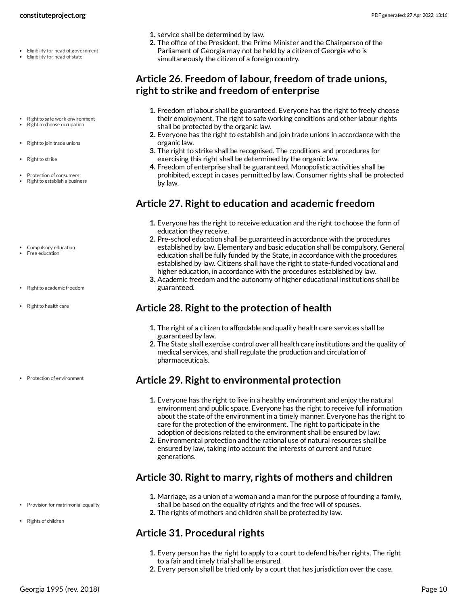- Eligibility for head of government
- Eligibility for head of state
- Right to safe work environment Right to choose occupation
- Right to join trade unions
- Right to strike
- Protection of consumers Right to establish a business
- Compulsory education Free education
- Right to academic freedom

• Protection of environment

• Right to health care

- **1.** service shall be determined by law.
- **2.** The office of the President, the Prime Minister and the Chairperson of the Parliament of Georgia may not be held by a citizen of Georgia who is simultaneously the citizen of a foreign country.

### <span id="page-9-0"></span>**Article 26. Freedom of labour, freedom of trade unions, right to strike and freedom of enterprise**

- **1.** Freedom of labour shall be guaranteed. Everyone has the right to freely choose their employment. The right to safe working conditions and other labour rights shall be protected by the organic law.
- **2.** Everyone has the right to establish and join trade unions in accordance with the organic law.
- **3.** The right to strike shall be recognised. The conditions and procedures for exercising this right shall be determined by the organic law.
- **4.** Freedom of enterprise shall be guaranteed. Monopolistic activities shall be prohibited, except in cases permitted by law. Consumer rights shall be protected by law.

### <span id="page-9-1"></span>**Article 27. Right to education and academic freedom**

- **1.** Everyone has the right to receive education and the right to choose the form of education they receive.
- **2.** Pre-school education shall be guaranteed in accordance with the procedures established by law. Elementary and basic education shall be compulsory. General education shall be fully funded by the State, in accordance with the procedures established by law. Citizens shall have the right to state-funded vocational and higher education, in accordance with the procedures established by law.
- **3.** Academic freedom and the autonomy of higher educational institutions shall be guaranteed.

# <span id="page-9-2"></span>**Article 28. Right to the protection of health**

- **1.** The right of a citizen to affordable and quality health care services shall be guaranteed by law.
- **2.** The State shall exercise control over all health care institutions and the quality of medical services, and shall regulate the production and circulation of pharmaceuticals.

### <span id="page-9-3"></span>**Article 29. Right to environmental protection**

- **1.** Everyone has the right to live in a healthy environment and enjoy the natural environment and public space. Everyone has the right to receive full information about the state of the environment in a timely manner. Everyone has the right to care for the protection of the environment. The right to participate in the adoption of decisions related to the environment shall be ensured by law.
- **2.** Environmental protection and the rational use of natural resources shall be ensured by law, taking into account the interests of current and future generations.

# <span id="page-9-4"></span>**Article 30. Right to marry, rights of mothers and children**

- **1.** Marriage, as a union of a woman and a man for the purpose of founding a family,
- shall be based on the equality of rights and the free will of spouses. **2.** The rights of mothers and children shall be protected by law.

# <span id="page-9-5"></span>**Article 31. Procedural rights**

- **1.** Every person has the right to apply to a court to defend his/her rights. The right to a fair and timely trial shall be ensured.
- **2.** Every person shall be tried only by a court that has jurisdiction over the case.

• Provision for matrimonial equality

Rights of children

#### **constituteproject.org** PDF generated: 27 Apr 2022, 13:16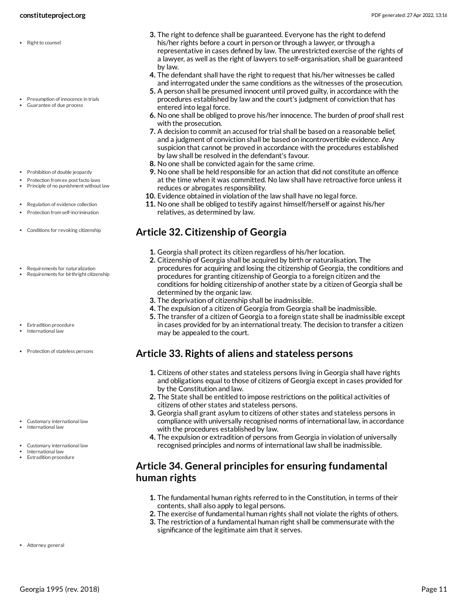- Right to counsel
- Presumption of innocence in trials Guarantee of due process
- Prohibition of double jeopardy
- Protection from ex post facto laws
- $\bullet$  Principle of no punishment without law
- Regulation of evidence collection
- Protection from self-incrimination
- Conditions for revoking citizenship
- Requirements for naturalization
- Requirements for birthright citizenship
- Extradition procedure
- International law
- Protection of stateless persons

- Customary international law
- International law
- Customary international law
- International law Extradition procedure
- 
- **3.** The right to defence shall be guaranteed. Everyone has the right to defend his/her rights before a court in person or through a lawyer, or through a representative in cases defined by law. The unrestricted exercise of the rights of a lawyer, as well as the right of lawyers to self-organisation, shall be guaranteed by law.
- **4.** The defendant shall have the right to request that his/her witnesses be called and interrogated under the same conditions as the witnesses of the prosecution.
- **5.** A person shall be presumed innocent until proved guilty, in accordance with the procedures established by law and the court's judgment of conviction that has entered into legal force.
- **6.** No one shall be obliged to prove his/her innocence. The burden of proof shall rest with the prosecution.
- **7.** A decision to commit an accused for trial shall be based on a reasonable belief, and a judgment of conviction shall be based on incontrovertible evidence. Any suspicion that cannot be proved in accordance with the procedures established by law shall be resolved in the defendant's favour.
- **8.** No one shall be convicted again for the same crime.
- **9.** No one shall be held responsible for an action that did not constitute an offence at the time when it was committed. No law shall have retroactive force unless it reduces or abrogates responsibility.
- **10.** Evidence obtained in violation of the law shall have no legal force.
- **11.** No one shall be obliged to testify against himself/herself or against his/her relatives, as determined by law.

# <span id="page-10-0"></span>**Article 32. Citizenship of Georgia**

- **1.** Georgia shall protect its citizen regardless of his/her location.
- **2.** Citizenship of Georgia shall be acquired by birth or naturalisation. The procedures for acquiring and losing the citizenship of Georgia, the conditions and procedures for granting citizenship of Georgia to a foreign citizen and the conditions for holding citizenship of another state by a citizen of Georgia shall be determined by the organic law.
- **3.** The deprivation of citizenship shall be inadmissible.
- **4.** The expulsion of a citizen of Georgia from Georgia shall be inadmissible.
- **5.** The transfer of a citizen of Georgia to a foreign state shall be inadmissible except in cases provided for by an international treaty. The decision to transfer a citizen may be appealed to the court.

### <span id="page-10-1"></span>**Article 33. Rights of aliens and stateless persons**

- **1.** Citizens of other states and stateless persons living in Georgia shall have rights and obligations equal to those of citizens of Georgia except in cases provided for by the Constitution and law.
- **2.** The State shall be entitled to impose restrictions on the political activities of citizens of other states and stateless persons.
- **3.** Georgia shall grant asylum to citizens of other states and stateless persons in compliance with universally recognised norms of international law, in accordance with the procedures established by law.
- **4.** The expulsion or extradition of persons from Georgia in violation of universally recognised principles and norms of international law shall be inadmissible.

### <span id="page-10-2"></span>**Article 34. General principles for ensuring fundamental human rights**

- **1.** The fundamental human rights referred to in the Constitution, in terms of their contents, shall also apply to legal persons.
- **2.** The exercise of fundamental human rights shall not violate the rights of others.
- <span id="page-10-3"></span>**3.** The restriction of a fundamental human right shall be commensurate with the significance of the legitimate aim that it serves.

Attorney general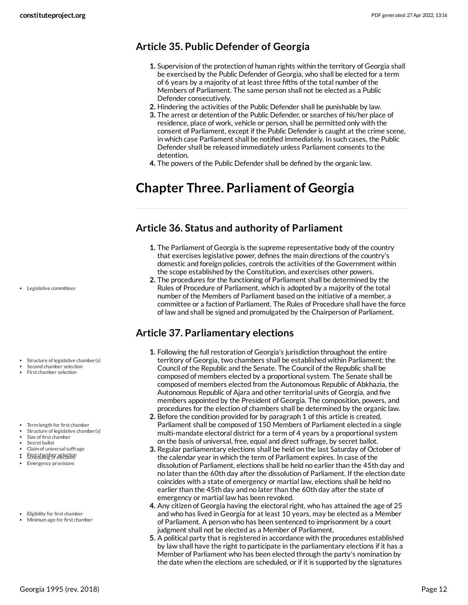# <span id="page-11-0"></span>**Article 35. Public Defender of Georgia**

- **1.** Supervision of the protection of human rights within the territory of Georgia shall be exercised by the Public Defender of Georgia, who shall be elected for a term of 6 years by a majority of at least three fifths of the total number of the Members of Parliament. The same person shall not be elected as a Public Defender consecutively.
- **2.** Hindering the activities of the Public Defender shall be punishable by law.
- **3.** The arrest or detention of the Public Defender, or searches of his/her place of residence, place of work, vehicle or person, shall be permitted only with the consent of Parliament, except if the Public Defender is caught at the crime scene, in which case Parliament shall be notified immediately. In such cases, the Public Defender shall be released immediately unless Parliament consents to the detention.
- **4.** The powers of the Public Defender shall be defined by the organic law.

# <span id="page-11-1"></span>**Chapter Three. Parliament of Georgia**

### <span id="page-11-2"></span>**Article 36. Status and authority of Parliament**

- **1.** The Parliament of Georgia is the supreme representative body of the country that exercises legislative power, defines the main directions of the country's domestic and foreign policies, controls the activities of the Government within the scope established by the Constitution, and exercises other powers.
- **2.** The procedures for the functioning of Parliament shall be determined by the Rules of Procedure of Parliament, which is adopted by a majority of the total number of the Members of Parliament based on the initiative of a member, a committee or a faction of Parliament. The Rules of Procedure shall have the force of law and shall be signed and promulgated by the Chairperson of Parliament.

# <span id="page-11-3"></span>**Article 37. Parliamentary elections**

- **1.** Following the full restoration of Georgia's jurisdiction throughout the entire territory of Georgia, two chambers shall be established within Parliament: the Council of the Republic and the Senate. The Council of the Republic shall be composed of members elected by a proportional system. The Senate shall be composed of members elected from the Autonomous Republic of Abkhazia, the Autonomous Republic of Ajara and other territorial units of Georgia, and five members appointed by the President of Georgia. The composition, powers, and procedures for the election of chambers shall be determined by the organic law.
- **2.** Before the condition provided for by paragraph 1 of this article is created, Parliament shall be composed of 150 Members of Parliament elected in a single multi-mandate electoral district for a term of 4 years by a proportional system on the basis of universal, free, equal and direct suffrage, by secret ballot.
- **3.** Regular parliamentary elections shall be held on the last Saturday of October of the calendar year in which the term of Parliament expires. In case of the dissolution of Parliament, elections shall be held no earlier than the 45th day and no later than the 60th day after the dissolution of Parliament. If the election date coincides with a state of emergency or martial law, elections shall be held no earlier than the 45th day and no later than the 60th day after the state of emergency or martial law has been revoked.
- **4.** Any citizen of Georgia having the electoral right, who has attained the age of 25 and who has lived in Georgia for at least 10 years, may be elected as a Member of Parliament. A person who has been sentenced to imprisonment by a court judgment shall not be elected as a Member of Parliament.
- **5.** A political party that is registered in accordance with the procedures established by law shall have the right to participate in the parliamentary elections if it has a Member of Parliament who has been elected through the party's nomination by the date when the elections are scheduled, or if it is supported by the signatures

Legislative committees

- Structure of legislative chamber(s) Second chamber selection First chamber selection
- Term length for first chamber
- Structure of legislative chamber(s) Size of first chamber
- Secret ballot
- Claim of universal suffrage
- 
- First chamber selection Scheduling of elections Emergency provisions
- Eligibility for first chamber
- Minimum age for first chamber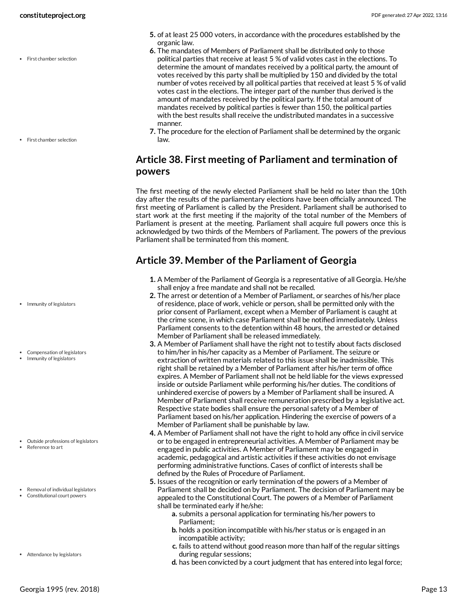• First chamber selection

• First chamber selection

- Immunity of legislators
- Compensation of legislators
- Immunity of legislators

- Outside professions of legislators
- Reference to art
- Removal of individual legislators
- Constitutional court powers
- Attendance by legislators
- **5.** of at least 25 000 voters, in accordance with the procedures established by the organic law.
- **6.** The mandates of Members of Parliament shall be distributed only to those political parties that receive at least 5 % of valid votes cast in the elections. To determine the amount of mandates received by a political party, the amount of votes received by this party shall be multiplied by 150 and divided by the total number of votes received by all political parties that received at least 5 % of valid votes cast in the elections. The integer part of the number thus derived is the amount of mandates received by the political party. If the total amount of mandates received by political parties is fewer than 150, the political parties with the best results shall receive the undistributed mandates in a successive manner.
- **7.** The procedure for the election of Parliament shall be determined by the organic law.

### <span id="page-12-0"></span>**Article 38. First meeting of Parliament and termination of powers**

The first meeting of the newly elected Parliament shall be held no later than the 10th day after the results of the parliamentary elections have been officially announced. The first meeting of Parliament is called by the President. Parliament shall be authorised to start work at the first meeting if the majority of the total number of the Members of Parliament is present at the meeting. Parliament shall acquire full powers once this is acknowledged by two thirds of the Members of Parliament. The powers of the previous Parliament shall be terminated from this moment.

# <span id="page-12-1"></span>**Article 39. Member of the Parliament of Georgia**

- **1.** A Member of the Parliament of Georgia is a representative of all Georgia. He/she shall enjoy a free mandate and shall not be recalled.
- **2.** The arrest or detention of a Member of Parliament, or searches of his/her place of residence, place of work, vehicle or person, shall be permitted only with the prior consent of Parliament, except when a Member of Parliament is caught at the crime scene, in which case Parliament shall be notified immediately. Unless Parliament consents to the detention within 48 hours, the arrested or detained Member of Parliament shall be released immediately.
- **3.** A Member of Parliament shall have the right not to testify about facts disclosed to him/her in his/her capacity as a Member of Parliament. The seizure or extraction of written materials related to this issue shall be inadmissible. This right shall be retained by a Member of Parliament after his/her term of office expires. A Member of Parliament shall not be held liable for the views expressed inside or outside Parliament while performing his/her duties. The conditions of unhindered exercise of powers by a Member of Parliament shall be insured. A Member of Parliament shall receive remuneration prescribed by a legislative act. Respective state bodies shall ensure the personal safety of a Member of Parliament based on his/her application. Hindering the exercise of powers of a Member of Parliament shall be punishable by law.
- **4.** A Member of Parliament shall not have the right to hold any office in civil service or to be engaged in entrepreneurial activities. A Member of Parliament may be engaged in public activities. A Member of Parliament may be engaged in academic, pedagogical and artistic activities if these activities do not envisage performing administrative functions. Cases of conflict of interests shall be defined by the Rules of Procedure of Parliament.
- **5.** Issues of the recognition or early termination of the powers of a Member of Parliament shall be decided on by Parliament. The decision of Parliament may be appealed to the Constitutional Court. The powers of a Member of Parliament shall be terminated early if he/she:
	- **a.** submits a personal application for terminating his/her powers to Parliament;
	- **b.** holds a position incompatible with his/her status or is engaged in an incompatible activity;
	- **c.** fails to attend without good reason more than half of the regular sittings during regular sessions;
	- **d.** has been convicted by a court judgment that has entered into legal force;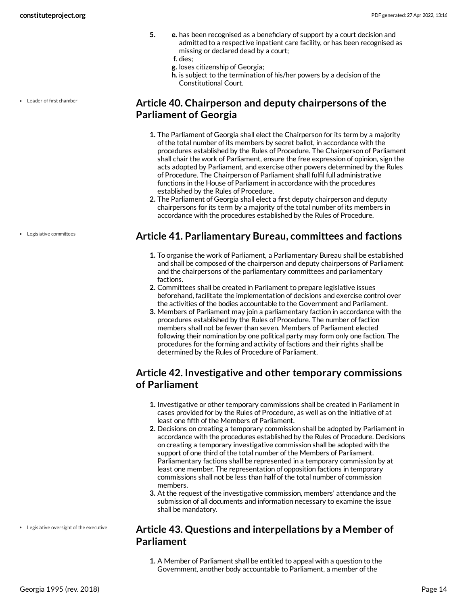- **5. e.** has been recognised as a beneficiary of support by a court decision and admitted to a respective inpatient care facility, or has been recognised as missing or declared dead by a court;
	- **f.** dies;
	- **g.** loses citizenship of Georgia;
	- **h.** is subject to the termination of his/her powers by a decision of the Constitutional Court.

Leader of first chamber

### <span id="page-13-0"></span>**Article 40. Chairperson and deputy chairpersons of the Parliament of Georgia**

- **1.** The Parliament of Georgia shall elect the Chairperson for its term by a majority of the total number of its members by secret ballot, in accordance with the procedures established by the Rules of Procedure. The Chairperson of Parliament shall chair the work of Parliament, ensure the free expression of opinion, sign the acts adopted by Parliament, and exercise other powers determined by the Rules of Procedure. The Chairperson of Parliament shall fulfil full administrative functions in the House of Parliament in accordance with the procedures established by the Rules of Procedure.
- **2.** The Parliament of Georgia shall elect a first deputy chairperson and deputy chairpersons for its term by a majority of the total number of its members in accordance with the procedures established by the Rules of Procedure.

### <span id="page-13-1"></span>**Article 41. Parliamentary Bureau, committees and factions**

- **1.** To organise the work of Parliament, a Parliamentary Bureau shall be established and shall be composed of the chairperson and deputy chairpersons of Parliament and the chairpersons of the parliamentary committees and parliamentary factions.
- **2.** Committees shall be created in Parliament to prepare legislative issues beforehand, facilitate the implementation of decisions and exercise control over the activities of the bodies accountable to the Government and Parliament.
- **3.** Members of Parliament may join a parliamentary faction in accordance with the procedures established by the Rules of Procedure. The number of faction members shall not be fewer than seven. Members of Parliament elected following their nomination by one political party may form only one faction. The procedures for the forming and activity of factions and their rights shall be determined by the Rules of Procedure of Parliament.

# <span id="page-13-2"></span>**Article 42. Investigative and other temporary commissions of Parliament**

- **1.** Investigative or other temporary commissions shall be created in Parliament in cases provided for by the Rules of Procedure, as well as on the initiative of at least one fifth of the Members of Parliament.
- **2.** Decisions on creating a temporary commission shall be adopted by Parliament in accordance with the procedures established by the Rules of Procedure. Decisions on creating a temporary investigative commission shall be adopted with the support of one third of the total number of the Members of Parliament. Parliamentary factions shall be represented in a temporary commission by at least one member. The representation of opposition factions in temporary commissions shall not be less than half of the total number of commission members.
- **3.** At the request of the investigative commission, members' attendance and the submission of all documents and information necessary to examine the issue shall be mandatory.

### <span id="page-13-3"></span>**Article 43. Questions and interpellations by a Member of Parliament**

**1.** A Member of Parliament shall be entitled to appeal with a question to the Government, another body accountable to Parliament, a member of the

Legislative committees

Legislative oversight of the executive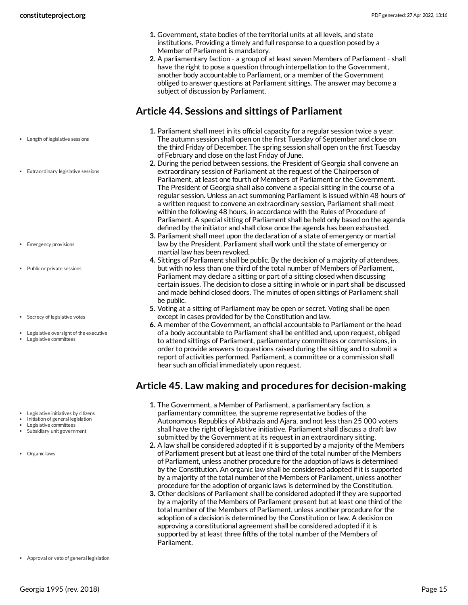- **1.** Government, state bodies of the territorial units at all levels, and state institutions. Providing a timely and full response to a question posed by a Member of Parliament is mandatory.
- **2.** A parliamentary faction a group of at least seven Members of Parliament shall have the right to pose a question through interpellation to the Government, another body accountable to Parliament, or a member of the Government obliged to answer questions at Parliament sittings. The answer may become a subject of discussion by Parliament.

# <span id="page-14-0"></span>**Article 44. Sessions and sittings of Parliament**

- Length of legislative sessions
- Extraordinary legislative sessions

- Emergency provisions
- Public or private sessions
- Secrecy of legislative votes
- Legislative oversight of the executive Legislative committees

- Legislative initiatives by citizens
- Initiation of general legislation
- Legislative committees
- Subsidiary unit government
- Organic laws

Approval or veto of general legislation

- **1.** Parliament shall meet in its official capacity for a regular session twice a year. The autumn session shall open on the first Tuesday of September and close on the third Friday of December. The spring session shall open on the first Tuesday of February and close on the last Friday of June.
- **2.** During the period between sessions, the President of Georgia shall convene an extraordinary session of Parliament at the request of the Chairperson of Parliament, at least one fourth of Members of Parliament or the Government. The President of Georgia shall also convene a special sitting in the course of a regular session. Unless an act summoning Parliament is issued within 48 hours of a written request to convene an extraordinary session, Parliament shall meet within the following 48 hours, in accordance with the Rules of Procedure of Parliament. A special sitting of Parliament shall be held only based on the agenda defined by the initiator and shall close once the agenda has been exhausted.
- **3.** Parliament shall meet upon the declaration of a state of emergency or martial law by the President. Parliament shall work until the state of emergency or martial law has been revoked.
- **4.** Sittings of Parliament shall be public. By the decision of a majority of attendees, but with no less than one third of the total number of Members of Parliament, Parliament may declare a sitting or part of a sitting closed when discussing certain issues. The decision to close a sitting in whole or in part shall be discussed and made behind closed doors. The minutes of open sittings of Parliament shall be public.
- **5.** Voting at a sitting of Parliament may be open or secret. Voting shall be open except in cases provided for by the Constitution and law.
- **6.** A member of the Government, an official accountable to Parliament or the head of a body accountable to Parliament shall be entitled and, upon request, obliged to attend sittings of Parliament, parliamentary committees or commissions, in order to provide answers to questions raised during the sitting and to submit a report of activities performed. Parliament, a committee or a commission shall hear such an official immediately upon request.

# <span id="page-14-1"></span>**Article 45. Law making and procedures for decision-making**

- **1.** The Government, a Member of Parliament, a parliamentary faction, a parliamentary committee, the supreme representative bodies of the Autonomous Republics of Abkhazia and Ajara, and not less than 25 000 voters shall have the right of legislative initiative. Parliament shall discuss a draft law submitted by the Government at its request in an extraordinary sitting.
- **2.** A law shall be considered adopted if it is supported by a majority of the Members of Parliament present but at least one third of the total number of the Members of Parliament, unless another procedure for the adoption of laws is determined by the Constitution. An organic law shall be considered adopted if it is supported by a majority of the total number of the Members of Parliament, unless another procedure for the adoption of organic laws is determined by the Constitution.
- <span id="page-14-2"></span>**3.** Other decisions of Parliament shall be considered adopted if they are supported by a majority of the Members of Parliament present but at least one third of the total number of the Members of Parliament, unless another procedure for the adoption of a decision is determined by the Constitution or law. A decision on approving a constitutional agreement shall be considered adopted if it is supported by at least three fifths of the total number of the Members of Parliament.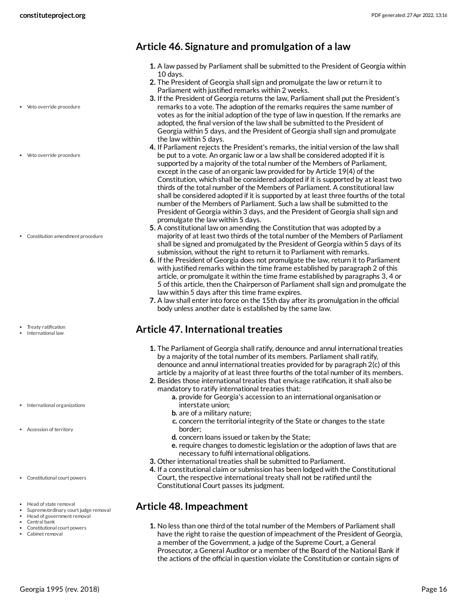- Veto override procedure
- Veto override procedure

Constitution amendment procedure

- Treaty ratification
- International law

- International organizations
- Accession of territory
- Constitutional court powers
- Head of state removal
- Supreme/ordinary court judge removal
- Head of government removal
- Central bank
- Constitutional court powers Cabinet removal

### <span id="page-15-0"></span>**Article 46. Signature and promulgation of a law**

- **1.** A law passed by Parliament shall be submitted to the President of Georgia within 10 days.
- **2.** The President of Georgia shall sign and promulgate the law or return it to Parliament with justified remarks within 2 weeks.
- **3.** If the President of Georgia returns the law, Parliament shall put the President's remarks to a vote. The adoption of the remarks requires the same number of votes as for the initial adoption of the type of law in question. If the remarks are adopted, the final version of the law shall be submitted to the President of Georgia within 5 days, and the President of Georgia shall sign and promulgate the law within 5 days.
- **4.** If Parliament rejects the President's remarks, the initial version of the law shall be put to a vote. An organic law or a law shall be considered adopted if it is supported by a majority of the total number of the Members of Parliament, except in the case of an organic law provided for by Article 19(4) of the Constitution, which shall be considered adopted if it is supported by at least two thirds of the total number of the Members of Parliament. A constitutional law shall be considered adopted if it is supported by at least three fourths of the total number of the Members of Parliament. Such a law shall be submitted to the President of Georgia within 3 days, and the President of Georgia shall sign and promulgate the law within 5 days.
- **5.** A constitutional law on amending the Constitution that was adopted by a majority of at least two thirds of the total number of the Members of Parliament shall be signed and promulgated by the President of Georgia within 5 days of its submission, without the right to return it to Parliament with remarks.
- **6.** If the President of Georgia does not promulgate the law, return it to Parliament with justified remarks within the time frame established by paragraph 2 of this article, or promulgate it within the time frame established by paragraphs 3, 4 or 5 of this article, then the Chairperson of Parliament shall sign and promulgate the law within 5 days after this time frame expires.
- **7.** A law shall enter into force on the 15th day after its promulgation in the official body unless another date is established by the same law.

### <span id="page-15-1"></span>**Article 47. International treaties**

- **1.** The Parliament of Georgia shall ratify, denounce and annul international treaties by a majority of the total number of its members. Parliament shall ratify, denounce and annul international treaties provided for by paragraph 2(c) of this article by a majority of at least three fourths of the total number of its members.
- **2.** Besides those international treaties that envisage ratification, it shall also be mandatory to ratify international treaties that:
	- **a.** provide for Georgia's accession to an international organisation or interstate union;
	- **b.** are of a military nature;
	- **c.** concern the territorial integrity of the State or changes to the state border;
	- **d.** concern loans issued or taken by the State;
	- **e.** require changes to domestic legislation or the adoption of laws that are necessary to fulfil international obligations.
- **3.** Other international treaties shall be submitted to Parliament.
- **4.** If a constitutional claim or submission has been lodged with the Constitutional Court, the respective international treaty shall not be ratified until the Constitutional Court passes its judgment.

#### <span id="page-15-2"></span>**Article 48. Impeachment**

**1.** No less than one third of the total number of the Members of Parliament shall have the right to raise the question of impeachment of the President of Georgia, a member of the Government, a judge of the Supreme Court, a General Prosecutor, a General Auditor or a member of the Board of the National Bank if the actions of the official in question violate the Constitution or contain signs of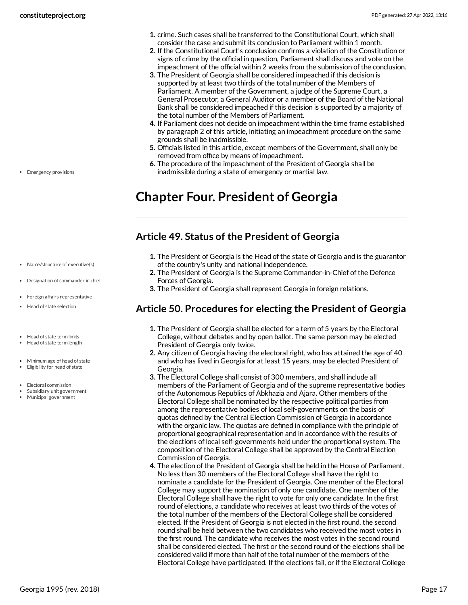- **1.** crime. Such cases shall be transferred to the Constitutional Court, which shall consider the case and submit its conclusion to Parliament within 1 month.
- **2.** If the Constitutional Court's conclusion confirms a violation of the Constitution or signs of crime by the official in question, Parliament shall discuss and vote on the impeachment of the official within 2 weeks from the submission of the conclusion.
- **3.** The President of Georgia shall be considered impeached if this decision is supported by at least two thirds of the total number of the Members of Parliament. A member of the Government, a judge of the Supreme Court, a General Prosecutor, a General Auditor or a member of the Board of the National Bank shall be considered impeached if this decision is supported by a majority of the total number of the Members of Parliament.
- **4.** If Parliament does not decide on impeachment within the time frame established by paragraph 2 of this article, initiating an impeachment procedure on the same grounds shall be inadmissible.
- **5.** Officials listed in this article, except members of the Government, shall only be removed from office by means of impeachment.
- **6.** The procedure of the impeachment of the President of Georgia shall be inadmissible during a state of emergency or martial law.

# <span id="page-16-0"></span>**Chapter Four. President of Georgia**

# <span id="page-16-1"></span>**Article 49. Status of the President of Georgia**

- **1.** The President of Georgia is the Head of the state of Georgia and is the guarantor of the country's unity and national independence.
- **2.** The President of Georgia is the Supreme Commander-in-Chief of the Defence Forces of Georgia.
- **3.** The President of Georgia shall represent Georgia in foreign relations.

# <span id="page-16-2"></span>**Article 50. Procedures for electing the President of Georgia**

- **1.** The President of Georgia shall be elected for a term of 5 years by the Electoral College, without debates and by open ballot. The same person may be elected President of Georgia only twice.
- **2.** Any citizen of Georgia having the electoral right, who has attained the age of 40 and who has lived in Georgia for at least 15 years, may be elected President of Georgia.
- **3.** The Electoral College shall consist of 300 members, and shall include all members of the Parliament of Georgia and of the supreme representative bodies of the Autonomous Republics of Abkhazia and Ajara. Other members of the Electoral College shall be nominated by the respective political parties from among the representative bodies of local self-governments on the basis of quotas defined by the Central Election Commission of Georgia in accordance with the organic law. The quotas are defined in compliance with the principle of proportional geographical representation and in accordance with the results of the elections of local self-governments held under the proportional system. The composition of the Electoral College shall be approved by the Central Election Commission of Georgia.
- **4.** The election of the President of Georgia shall be held in the House of Parliament. No less than 30 members of the Electoral College shall have the right to nominate a candidate for the President of Georgia. One member of the Electoral College may support the nomination of only one candidate. One member of the Electoral College shall have the right to vote for only one candidate. In the first round of elections, a candidate who receives at least two thirds of the votes of the total number of the members of the Electoral College shall be considered elected. If the President of Georgia is not elected in the first round, the second round shall be held between the two candidates who received the most votes in the first round. The candidate who receives the most votes in the second round shall be considered elected. The first or the second round of the elections shall be considered valid if more than half of the total number of the members of the Electoral College have participated. If the elections fail, or if the Electoral College

• Emergency provisions

- Name/structure of executive(s)
- Designation of commander in chief
- Foreign affairs representative
- Head of state selection
- Head of state term limits Head of state term length
- 
- Minimum age of head of state
- Eligibility for head of state
- Electoral commission
- Subsidiary unit government Municipal government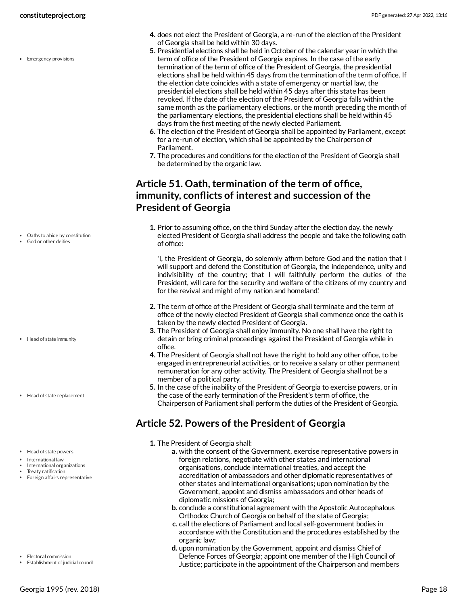• Emergency provisions

- Oaths to abide by constitution
- God or other deities

- Head of state immunity
- Head of state replacement
- Head of state powers
- International law
- International organizations
- Treaty ratification
- Foreign affairs representative

- Electoral commission
- Establishment of judicial council
- **4.** does not elect the President of Georgia, a re-run of the election of the President of Georgia shall be held within 30 days.
- **5.** Presidential elections shall be held in October of the calendar year in which the term of office of the President of Georgia expires. In the case of the early termination of the term of office of the President of Georgia, the presidential elections shall be held within 45 days from the termination of the term of office. If the election date coincides with a state of emergency or martial law, the presidential elections shall be held within 45 days after this state has been revoked. If the date of the election of the President of Georgia falls within the same month as the parliamentary elections, or the month preceding the month of the parliamentary elections, the presidential elections shall be held within 45 days from the first meeting of the newly elected Parliament.
- **6.** The election of the President of Georgia shall be appointed by Parliament, except for a re-run of election, which shall be appointed by the Chairperson of Parliament.
- **7.** The procedures and conditions for the election of the President of Georgia shall be determined by the organic law.

# <span id="page-17-0"></span>**Article 51. Oath, termination of the term of office, immunity, conflicts of interest and succession of the President of Georgia**

**1.** Prior to assuming office, on the third Sunday after the election day, the newly elected President of Georgia shall address the people and take the following oath of office:

'I, the President of Georgia, do solemnly affirm before God and the nation that I will support and defend the Constitution of Georgia, the independence, unity and indivisibility of the country; that I will faithfully perform the duties of the President, will care for the security and welfare of the citizens of my country and for the revival and might of my nation and homeland.'

- **2.** The term of office of the President of Georgia shall terminate and the term of office of the newly elected President of Georgia shall commence once the oath is taken by the newly elected President of Georgia.
- **3.** The President of Georgia shall enjoy immunity. No one shall have the right to detain or bring criminal proceedings against the President of Georgia while in office.
- **4.** The President of Georgia shall not have the right to hold any other office, to be engaged in entrepreneurial activities, or to receive a salary or other permanent remuneration for any other activity. The President of Georgia shall not be a member of a political party.
- **5.** In the case of the inability of the President of Georgia to exercise powers, or in the case of the early termination of the President's term of office, the Chairperson of Parliament shall perform the duties of the President of Georgia.

# <span id="page-17-1"></span>**Article 52. Powers of the President of Georgia**

- **1.** The President of Georgia shall:
	- **a.** with the consent of the Government, exercise representative powers in foreign relations, negotiate with other states and international organisations, conclude international treaties, and accept the accreditation of ambassadors and other diplomatic representatives of other states and international organisations; upon nomination by the Government, appoint and dismiss ambassadors and other heads of diplomatic missions of Georgia;
	- **b.** conclude a constitutional agreement with the Apostolic Autocephalous Orthodox Church of Georgia on behalf of the state of Georgia;
	- **c.** call the elections of Parliament and local self-government bodies in accordance with the Constitution and the procedures established by the organic law;
	- **d.** upon nomination by the Government, appoint and dismiss Chief of Defence Forces of Georgia; appoint one member of the High Council of Justice; participate in the appointment of the Chairperson and members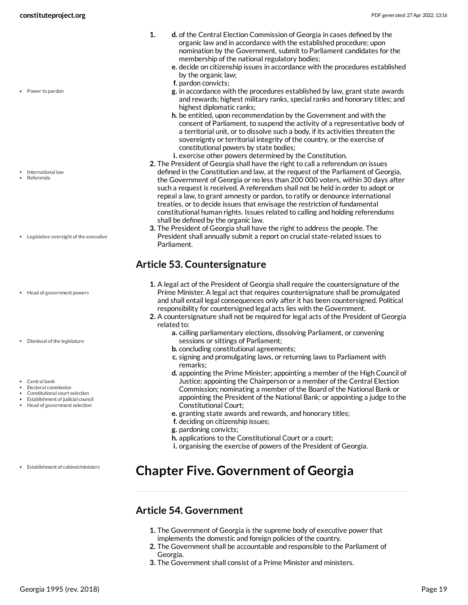- **1. d.** of the Central Election Commission of Georgia in cases defined by the organic law and in accordance with the established procedure; upon nomination by the Government, submit to Parliament candidates for the membership of the national regulatory bodies;
	- **e.** decide on citizenship issues in accordance with the procedures established by the organic law;
	- **f.** pardon convicts;
	- **g.** in accordance with the procedures established by law, grant state awards and rewards; highest military ranks, special ranks and honorary titles; and highest diplomatic ranks;
	- **h.** be entitled, upon recommendation by the Government and with the consent of Parliament, to suspend the activity of a representative body of a territorial unit, or to dissolve such a body, if its activities threaten the sovereignty or territorial integrity of the country, or the exercise of constitutional powers by state bodies;
	- **i.** exercise other powers determined by the Constitution.
- **2.** The President of Georgia shall have the right to call a referendum on issues defined in the Constitution and law, at the request of the Parliament of Georgia, the Government of Georgia or no less than 200 000 voters, within 30 days after such a request is received. A referendum shall not be held in order to adopt or repeal a law, to grant amnesty or pardon, to ratify or denounce international treaties, or to decide issues that envisage the restriction of fundamental constitutional human rights. Issues related to calling and holding referendums shall be defined by the organic law.
- **3.** The President of Georgia shall have the right to address the people. The President shall annually submit a report on crucial state-related issues to Parliament.

# <span id="page-18-0"></span>**Article 53. Countersignature**

- **1.** A legal act of the President of Georgia shall require the countersignature of the Prime Minister. A legal act that requires countersignature shall be promulgated and shall entail legal consequences only after it has been countersigned. Political responsibility for countersigned legal acts lies with the Government.
- **2.** A countersignature shall not be required for legal acts of the President of Georgia related to:
	- **a.** calling parliamentary elections, dissolving Parliament, or convening sessions or sittings of Parliament;
	- **b.** concluding constitutional agreements;
	- **c.** signing and promulgating laws, or returning laws to Parliament with remarks;
	- **d.** appointing the Prime Minister; appointing a member of the High Council of Justice; appointing the Chairperson or a member of the Central Election Commission; nominating a member of the Board of the National Bank or appointing the President of the National Bank; or appointing a judge to the Constitutional Court;
	- **e.** granting state awards and rewards, and honorary titles;
	- **f.** deciding on citizenship issues;
	- **g.** pardoning convicts;
	- **h.** applications to the Constitutional Court or a court;
	- **i.** organising the exercise of powers of the President of Georgia.

# <span id="page-18-1"></span>**Chapter Five. Government of Georgia**

### <span id="page-18-2"></span>**Article 54. Government**

- **1.** The Government of Georgia is the supreme body of executive power that implements the domestic and foreign policies of the country.
- **2.** The Government shall be accountable and responsible to the Parliament of Georgia.
- **3.** The Government shall consist of a Prime Minister and ministers.

International law

• Power to pardon

- Referenda
- Legislative oversight of the executive
- Head of government powers
- Dismissal of the legislature
- Central bank
- Electoral commission
- Constitutional court selection Establishment of judicial council
- Head of government selection

Establishment of cabinet/ministers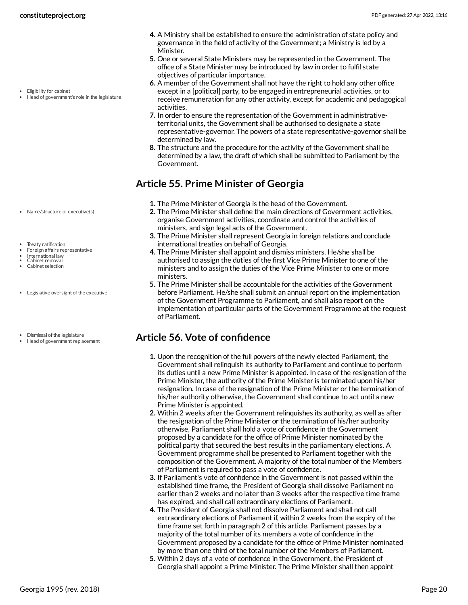- **4.** A Ministry shall be established to ensure the administration of state policy and governance in the field of activity of the Government; a Ministry is led by a Minister.
- **5.** One or several State Ministers may be represented in the Government. The office of a State Minister may be introduced by law in order to fulfil state objectives of particular importance.
- **6.** A member of the Government shall not have the right to hold any other office except in a [political] party, to be engaged in entrepreneurial activities, or to receive remuneration for any other activity, except for academic and pedagogical activities.
- **7.** In order to ensure the representation of the Government in administrativeterritorial units, the Government shall be authorised to designate a state representative-governor. The powers of a state representative-governor shall be determined by law.
- **8.** The structure and the procedure for the activity of the Government shall be determined by a law, the draft of which shall be submitted to Parliament by the Government.

# <span id="page-19-0"></span>**Article 55. Prime Minister of Georgia**

- **1.** The Prime Minister of Georgia is the head of the Government.
- **2.** The Prime Minister shall define the main directions of Government activities, organise Government activities, coordinate and control the activities of ministers, and sign legal acts of the Government.
- **3.** The Prime Minister shall represent Georgia in foreign relations and conclude international treaties on behalf of Georgia.
- **4.** The Prime Minister shall appoint and dismiss ministers. He/she shall be authorised to assign the duties of the first Vice Prime Minister to one of the ministers and to assign the duties of the Vice Prime Minister to one or more ministers.
- **5.** The Prime Minister shall be accountable for the activities of the Government before Parliament. He/she shall submit an annual report on the implementation of the Government Programme to Parliament, and shall also report on the implementation of particular parts of the Government Programme at the request of Parliament.

# <span id="page-19-1"></span>**Article 56. Vote of confidence**

- **1.** Upon the recognition of the full powers of the newly elected Parliament, the Government shall relinquish its authority to Parliament and continue to perform its duties until a new Prime Minister is appointed. In case of the resignation of the Prime Minister, the authority of the Prime Minister is terminated upon his/her resignation. In case of the resignation of the Prime Minister or the termination of his/her authority otherwise, the Government shall continue to act until a new Prime Minister is appointed.
- **2.** Within 2 weeks after the Government relinquishes its authority, as well as after the resignation of the Prime Minister or the termination of his/her authority otherwise, Parliament shall hold a vote of confidence in the Government proposed by a candidate for the office of Prime Minister nominated by the political party that secured the best results in the parliamentary elections. A Government programme shall be presented to Parliament together with the composition of the Government. A majority of the total number of the Members of Parliament is required to pass a vote of confidence.
- **3.** If Parliament's vote of confidence in the Government is not passed within the established time frame, the President of Georgia shall dissolve Parliament no earlier than 2 weeks and no later than 3 weeks after the respective time frame has expired, and shall call extraordinary elections of Parliament.
- **4.** The President of Georgia shall not dissolve Parliament and shall not call extraordinary elections of Parliament if, within 2 weeks from the expiry of the time frame set forth in paragraph 2 of this article, Parliament passes by a majority of the total number of its members a vote of confidence in the Government proposed by a candidate for the office of Prime Minister nominated by more than one third of the total number of the Members of Parliament.
- **5.** Within 2 days of a vote of confidence in the Government, the President of Georgia shall appoint a Prime Minister. The Prime Minister shall then appoint
- Eligibility for cabinet
- Head of government's role in the legislature

- Name/structure of executive(s)
- Treaty ratification
- Foreign affairs representative
- International law Cabinet removal
- Cabinet selection
- Legislative oversight of the executive
- Dismissal of the legislature
- Head of government replacement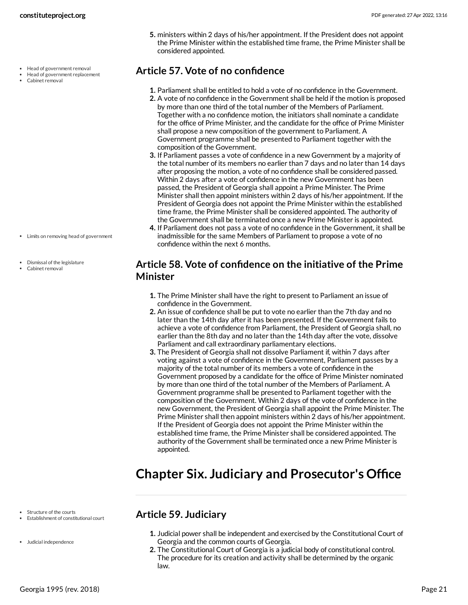- Head of government removal
- Head of government replacement
- Cabinet removal

- Limits on removing head of government
- Dismissal of the legislature
- Cabinet removal

**5.** ministers within 2 days of his/her appointment. If the President does not appoint the Prime Minister within the established time frame, the Prime Minister shall be considered appointed.

# <span id="page-20-0"></span>**Article 57. Vote of no confidence**

- **1.** Parliament shall be entitled to hold a vote of no confidence in the Government.
- **2.** A vote of no confidence in the Government shall be held if the motion is proposed by more than one third of the total number of the Members of Parliament. Together with a no confidence motion, the initiators shall nominate a candidate for the office of Prime Minister, and the candidate for the office of Prime Minister shall propose a new composition of the government to Parliament. A Government programme shall be presented to Parliament together with the composition of the Government.
- **3.** If Parliament passes a vote of confidence in a new Government by a majority of the total number of its members no earlier than 7 days and no later than 14 days after proposing the motion, a vote of no confidence shall be considered passed. Within 2 days after a vote of confidence in the new Government has been passed, the President of Georgia shall appoint a Prime Minister. The Prime Minister shall then appoint ministers within 2 days of his/her appointment. If the President of Georgia does not appoint the Prime Minister within the established time frame, the Prime Minister shall be considered appointed. The authority of the Government shall be terminated once a new Prime Minister is appointed.
- **4.** If Parliament does not pass a vote of no confidence in the Government, it shall be inadmissible for the same Members of Parliament to propose a vote of no confidence within the next 6 months.

### <span id="page-20-1"></span>**Article 58. Vote of confidence on the initiative of the Prime Minister**

- **1.** The Prime Minister shall have the right to present to Parliament an issue of confidence in the Government.
- **2.** An issue of confidence shall be put to vote no earlier than the 7th day and no later than the 14th day after it has been presented. If the Government fails to achieve a vote of confidence from Parliament, the President of Georgia shall, no earlier than the 8th day and no later than the 14th day after the vote, dissolve Parliament and call extraordinary parliamentary elections.
- **3.** The President of Georgia shall not dissolve Parliament if, within 7 days after voting against a vote of confidence in the Government, Parliament passes by a majority of the total number of its members a vote of confidence in the Government proposed by a candidate for the office of Prime Minister nominated by more than one third of the total number of the Members of Parliament. A Government programme shall be presented to Parliament together with the composition of the Government. Within 2 days of the vote of confidence in the new Government, the President of Georgia shall appoint the Prime Minister. The Prime Minister shall then appoint ministers within 2 days of his/her appointment. If the President of Georgia does not appoint the Prime Minister within the established time frame, the Prime Minister shall be considered appointed. The authority of the Government shall be terminated once a new Prime Minister is appointed.

# <span id="page-20-2"></span>**Chapter Six. Judiciary and Prosecutor's Office**

- Structure of the courts
- Establishment of constitutional court
- Judicial independence

# <span id="page-20-3"></span>**Article 59. Judiciary**

- **1.** Judicial power shall be independent and exercised by the Constitutional Court of Georgia and the common courts of Georgia.
- **2.** The Constitutional Court of Georgia is a judicial body of constitutional control. The procedure for its creation and activity shall be determined by the organic law.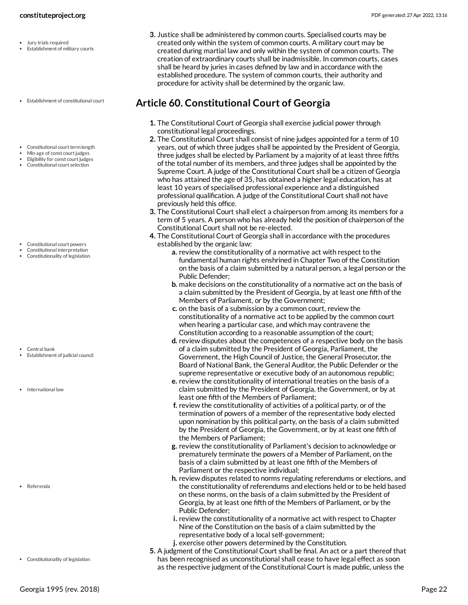- Jury trials required
- Establishment of military courts
- Establishment of constitutional court
- Constitutional court term length
- Min age of const court judges
- Eligibility for const court judges Constitutional court selection

- 
- Constitutional court powers Constitutional interpretation
- Constitutionality of legislation

Central bank

Establishment of judicial council

• International law

Referenda

Constitutionality of legislation

**3.** Justice shall be administered by common courts. Specialised courts may be created only within the system of common courts. A military court may be created during martial law and only within the system of common courts. The creation of extraordinary courts shall be inadmissible. In common courts, cases shall be heard by juries in cases defined by law and in accordance with the established procedure. The system of common courts, their authority and procedure for activity shall be determined by the organic law.

### <span id="page-21-0"></span>**Article 60. Constitutional Court of Georgia**

- **1.** The Constitutional Court of Georgia shall exercise judicial power through constitutional legal proceedings.
- **2.** The Constitutional Court shall consist of nine judges appointed for a term of 10 years, out of which three judges shall be appointed by the President of Georgia, three judges shall be elected by Parliament by a majority of at least three fifths of the total number of its members, and three judges shall be appointed by the Supreme Court. A judge of the Constitutional Court shall be a citizen of Georgia who has attained the age of 35, has obtained a higher legal education, has at least 10 years of specialised professional experience and a distinguished professional qualification. A judge of the Constitutional Court shall not have previously held this office.
- **3.** The Constitutional Court shall elect a chairperson from among its members for a term of 5 years. A person who has already held the position of chairperson of the Constitutional Court shall not be re-elected.
- **4.** The Constitutional Court of Georgia shall in accordance with the procedures established by the organic law:
	- **a.** review the constitutionality of a normative act with respect to the fundamental human rights enshrined in Chapter Two of the Constitution on the basis of a claim submitted by a natural person, a legal person or the Public Defender;
	- **b.** make decisions on the constitutionality of a normative act on the basis of a claim submitted by the President of Georgia, by at least one fifth of the Members of Parliament, or by the Government;
	- **c.** on the basis of a submission by a common court, review the constitutionality of a normative act to be applied by the common court when hearing a particular case, and which may contravene the Constitution according to a reasonable assumption of the court;
	- **d.** review disputes about the competences of a respective body on the basis of a claim submitted by the President of Georgia, Parliament, the Government, the High Council of Justice, the General Prosecutor, the Board of National Bank, the General Auditor, the Public Defender or the supreme representative or executive body of an autonomous republic;
	- **e.** review the constitutionality of international treaties on the basis of a claim submitted by the President of Georgia, the Government, or by at least one fifth of the Members of Parliament;
	- **f.** review the constitutionality of activities of a political party, or of the termination of powers of a member of the representative body elected upon nomination by this political party, on the basis of a claim submitted by the President of Georgia, the Government, or by at least one fifth of the Members of Parliament;
	- **g.** review the constitutionality of Parliament's decision to acknowledge or prematurely terminate the powers of a Member of Parliament, on the basis of a claim submitted by at least one fifth of the Members of Parliament or the respective individual;
	- **h.** review disputes related to norms regulating referendums or elections, and the constitutionality of referendums and elections held or to be held based on these norms, on the basis of a claim submitted by the President of Georgia, by at least one fifth of the Members of Parliament, or by the Public Defender;
	- **i.** review the constitutionality of a normative act with respect to Chapter Nine of the Constitution on the basis of a claim submitted by the representative body of a local self-government;
	- **j.** exercise other powers determined by the Constitution.
- **5.** A judgment of the Constitutional Court shall be final. An act or a part thereof that has been recognised as unconstitutional shall cease to have legal effect as soon as the respective judgment of the Constitutional Court is made public, unless the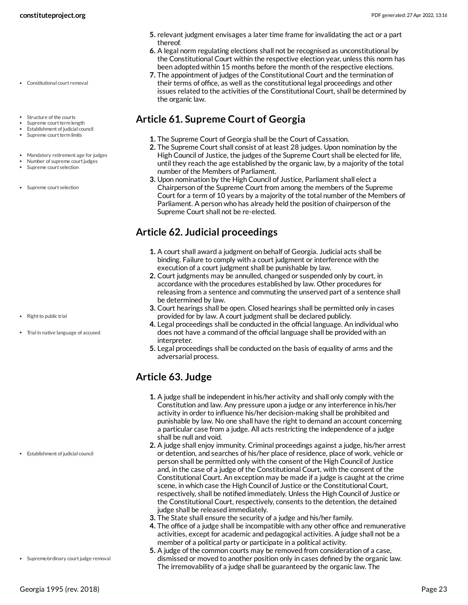- Constitutional court removal
- Structure of the courts
- Supreme court term length Establishment of judicial council
- Supreme court term limits
- Mandatory retirement age for judges
- Number of supreme court judges
- Supreme court selection
- Supreme court selection

- Right to public trial
- Trial in native language of accused

Establishment of judicial council

• Supreme/ordinary court judge removal

- **5.** relevant judgment envisages a later time frame for invalidating the act or a part thereof.
- **6.** A legal norm regulating elections shall not be recognised as unconstitutional by the Constitutional Court within the respective election year, unless this norm has been adopted within 15 months before the month of the respective elections.
- **7.** The appointment of judges of the Constitutional Court and the termination of their terms of office, as well as the constitutional legal proceedings and other issues related to the activities of the Constitutional Court, shall be determined by the organic law.

### <span id="page-22-0"></span>**Article 61. Supreme Court of Georgia**

- **1.** The Supreme Court of Georgia shall be the Court of Cassation.
- **2.** The Supreme Court shall consist of at least 28 judges. Upon nomination by the High Council of Justice, the judges of the Supreme Court shall be elected for life, until they reach the age established by the organic law, by a majority of the total number of the Members of Parliament.
- **3.** Upon nomination by the High Council of Justice, Parliament shall elect a Chairperson of the Supreme Court from among the members of the Supreme Court for a term of 10 years by a majority of the total number of the Members of Parliament. A person who has already held the position of chairperson of the Supreme Court shall not be re-elected.

# <span id="page-22-1"></span>**Article 62. Judicial proceedings**

- **1.** A court shall award a judgment on behalf of Georgia. Judicial acts shall be binding. Failure to comply with a court judgment or interference with the execution of a court judgment shall be punishable by law.
- **2.** Court judgments may be annulled, changed or suspended only by court, in accordance with the procedures established by law. Other procedures for releasing from a sentence and commuting the unserved part of a sentence shall be determined by law.
- **3.** Court hearings shall be open. Closed hearings shall be permitted only in cases provided for by law. A court judgment shall be declared publicly.
- **4.** Legal proceedings shall be conducted in the official language. An individual who does not have a command of the official language shall be provided with an interpreter.
- **5.** Legal proceedings shall be conducted on the basis of equality of arms and the adversarial process.

# <span id="page-22-2"></span>**Article 63. Judge**

- **1.** A judge shall be independent in his/her activity and shall only comply with the Constitution and law. Any pressure upon a judge or any interference in his/her activity in order to influence his/her decision-making shall be prohibited and punishable by law. No one shall have the right to demand an account concerning a particular case from a judge. All acts restricting the independence of a judge shall be null and void.
- **2.** A judge shall enjoy immunity. Criminal proceedings against a judge, his/her arrest or detention, and searches of his/her place of residence, place of work, vehicle or person shall be permitted only with the consent of the High Council of Justice and, in the case of a judge of the Constitutional Court, with the consent of the Constitutional Court. An exception may be made if a judge is caught at the crime scene, in which case the High Council of Justice or the Constitutional Court, respectively, shall be notified immediately. Unless the High Council of Justice or the Constitutional Court, respectively, consents to the detention, the detained judge shall be released immediately.
- **3.** The State shall ensure the security of a judge and his/her family.
- **4.** The office of a judge shall be incompatible with any other office and remunerative activities, except for academic and pedagogical activities. A judge shall not be a member of a political party or participate in a political activity.
- **5.** A judge of the common courts may be removed from consideration of a case, dismissed or moved to another position only in cases defined by the organic law. The irremovability of a judge shall be guaranteed by the organic law. The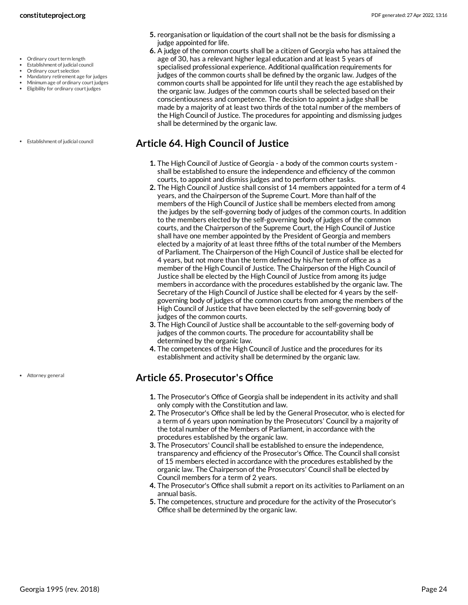- Ordinary court term length
- Establishment of judicial council
- Ordinary court selection
- Mandatory retirement age for judges
- Minimum age of ordinary court judges • Eligibility for ordinary court judges
- 
- Establishment of judicial council

Attorney general

- **5.** reorganisation or liquidation of the court shall not be the basis for dismissing a judge appointed for life.
- **6.** A judge of the common courts shall be a citizen of Georgia who has attained the age of 30, has a relevant higher legal education and at least 5 years of specialised professional experience. Additional qualification requirements for judges of the common courts shall be defined by the organic law. Judges of the common courts shall be appointed for life until they reach the age established by the organic law. Judges of the common courts shall be selected based on their conscientiousness and competence. The decision to appoint a judge shall be made by a majority of at least two thirds of the total number of the members of the High Council of Justice. The procedures for appointing and dismissing judges shall be determined by the organic law.

### <span id="page-23-0"></span>**Article 64. High Council of Justice**

- **1.** The High Council of Justice of Georgia a body of the common courts system shall be established to ensure the independence and efficiency of the common courts, to appoint and dismiss judges and to perform other tasks.
- **2.** The High Council of Justice shall consist of 14 members appointed for a term of 4 years, and the Chairperson of the Supreme Court. More than half of the members of the High Council of Justice shall be members elected from among the judges by the self-governing body of judges of the common courts. In addition to the members elected by the self-governing body of judges of the common courts, and the Chairperson of the Supreme Court, the High Council of Justice shall have one member appointed by the President of Georgia and members elected by a majority of at least three fifths of the total number of the Members of Parliament. The Chairperson of the High Council of Justice shall be elected for 4 years, but not more than the term defined by his/her term of office as a member of the High Council of Justice. The Chairperson of the High Council of Justice shall be elected by the High Council of Justice from among its judge members in accordance with the procedures established by the organic law. The Secretary of the High Council of Justice shall be elected for 4 years by the selfgoverning body of judges of the common courts from among the members of the High Council of Justice that have been elected by the self-governing body of judges of the common courts.
- **3.** The High Council of Justice shall be accountable to the self-governing body of judges of the common courts. The procedure for accountability shall be determined by the organic law.
- **4.** The competences of the High Council of Justice and the procedures for its establishment and activity shall be determined by the organic law.

# <span id="page-23-1"></span>**Article 65. Prosecutor's Office**

- **1.** The Prosecutor's Office of Georgia shall be independent in its activity and shall only comply with the Constitution and law.
- **2.** The Prosecutor's Office shall be led by the General Prosecutor, who is elected for a term of 6 years upon nomination by the Prosecutors' Council by a majority of the total number of the Members of Parliament, in accordance with the procedures established by the organic law.
- **3.** The Prosecutors' Council shall be established to ensure the independence, transparency and efficiency of the Prosecutor's Office. The Council shall consist of 15 members elected in accordance with the procedures established by the organic law. The Chairperson of the Prosecutors' Council shall be elected by Council members for a term of 2 years.
- **4.** The Prosecutor's Office shall submit a report on its activities to Parliament on an annual basis.
- **5.** The competences, structure and procedure for the activity of the Prosecutor's Office shall be determined by the organic law.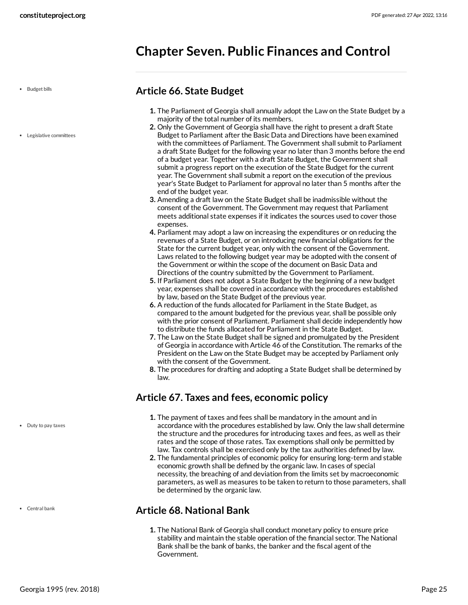# <span id="page-24-0"></span>**Chapter Seven. Public Finances and Control**

• Budget bills

Legislative committees

#### <span id="page-24-1"></span>**Article 66. State Budget**

- **1.** The Parliament of Georgia shall annually adopt the Law on the State Budget by a majority of the total number of its members.
- **2.** Only the Government of Georgia shall have the right to present a draft State Budget to Parliament after the Basic Data and Directions have been examined with the committees of Parliament. The Government shall submit to Parliament a draft State Budget for the following year no later than 3 months before the end of a budget year. Together with a draft State Budget, the Government shall submit a progress report on the execution of the State Budget for the current year. The Government shall submit a report on the execution of the previous year's State Budget to Parliament for approval no later than 5 months after the end of the budget year.
- **3.** Amending a draft law on the State Budget shall be inadmissible without the consent of the Government. The Government may request that Parliament meets additional state expenses if it indicates the sources used to cover those expenses.
- **4.** Parliament may adopt a law on increasing the expenditures or on reducing the revenues of a State Budget, or on introducing new financial obligations for the State for the current budget year, only with the consent of the Government. Laws related to the following budget year may be adopted with the consent of the Government or within the scope of the document on Basic Data and Directions of the country submitted by the Government to Parliament.
- **5.** If Parliament does not adopt a State Budget by the beginning of a new budget year, expenses shall be covered in accordance with the procedures established by law, based on the State Budget of the previous year.
- **6.** A reduction of the funds allocated for Parliament in the State Budget, as compared to the amount budgeted for the previous year, shall be possible only with the prior consent of Parliament. Parliament shall decide independently how to distribute the funds allocated for Parliament in the State Budget.
- **7.** The Law on the State Budget shall be signed and promulgated by the President of Georgia in accordance with Article 46 of the Constitution. The remarks of the President on the Law on the State Budget may be accepted by Parliament only with the consent of the Government.
- **8.** The procedures for drafting and adopting a State Budget shall be determined by law.

### <span id="page-24-2"></span>**Article 67. Taxes and fees, economic policy**

- **1.** The payment of taxes and fees shall be mandatory in the amount and in accordance with the procedures established by law. Only the law shall determine the structure and the procedures for introducing taxes and fees, as well as their rates and the scope of those rates. Tax exemptions shall only be permitted by law. Tax controls shall be exercised only by the tax authorities defined by law.
- **2.** The fundamental principles of economic policy for ensuring long-term and stable economic growth shall be defined by the organic law. In cases of special necessity, the breaching of and deviation from the limits set by macroeconomic parameters, as well as measures to be taken to return to those parameters, shall be determined by the organic law.

### <span id="page-24-3"></span>**Article 68. National Bank**

**1.** The National Bank of Georgia shall conduct monetary policy to ensure price stability and maintain the stable operation of the financial sector. The National Bank shall be the bank of banks, the banker and the fiscal agent of the Government.

Duty to pay taxes

Central bank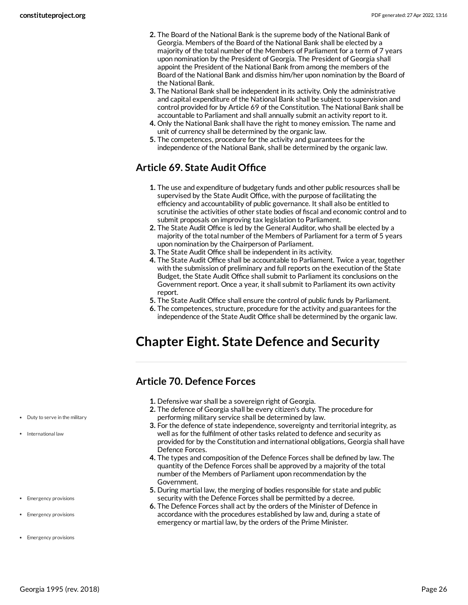- **2.** The Board of the National Bank is the supreme body of the National Bank of Georgia. Members of the Board of the National Bank shall be elected by a majority of the total number of the Members of Parliament for a term of 7 years upon nomination by the President of Georgia. The President of Georgia shall appoint the President of the National Bank from among the members of the Board of the National Bank and dismiss him/her upon nomination by the Board of the National Bank.
- **3.** The National Bank shall be independent in its activity. Only the administrative and capital expenditure of the National Bank shall be subject to supervision and control provided for by Article 69 of the Constitution. The National Bank shall be accountable to Parliament and shall annually submit an activity report to it.
- **4.** Only the National Bank shall have the right to money emission. The name and unit of currency shall be determined by the organic law.
- **5.** The competences, procedure for the activity and guarantees for the independence of the National Bank, shall be determined by the organic law.

# <span id="page-25-0"></span>**Article 69. State Audit Office**

- **1.** The use and expenditure of budgetary funds and other public resources shall be supervised by the State Audit Office, with the purpose of facilitating the efficiency and accountability of public governance. It shall also be entitled to scrutinise the activities of other state bodies of fiscal and economic control and to submit proposals on improving tax legislation to Parliament.
- **2.** The State Audit Office is led by the General Auditor, who shall be elected by a majority of the total number of the Members of Parliament for a term of 5 years upon nomination by the Chairperson of Parliament.
- **3.** The State Audit Office shall be independent in its activity.
- **4.** The State Audit Office shall be accountable to Parliament. Twice a year, together with the submission of preliminary and full reports on the execution of the State Budget, the State Audit Office shall submit to Parliament its conclusions on the Government report. Once a year, it shall submit to Parliament its own activity report.
- **5.** The State Audit Office shall ensure the control of public funds by Parliament.
- **6.** The competences, structure, procedure for the activity and guarantees for the independence of the State Audit Office shall be determined by the organic law.

# <span id="page-25-1"></span>**Chapter Eight. State Defence and Security**

# <span id="page-25-2"></span>**Article 70. Defence Forces**

- **1.** Defensive war shall be a sovereign right of Georgia.
- **2.** The defence of Georgia shall be every citizen's duty. The procedure for performing military service shall be determined by law.
- **3.** For the defence of state independence, sovereignty and territorial integrity, as well as for the fulfilment of other tasks related to defence and security as provided for by the Constitution and international obligations, Georgia shall have Defence Forces.
- **4.** The types and composition of the Defence Forces shall be defined by law. The quantity of the Defence Forces shall be approved by a majority of the total number of the Members of Parliament upon recommendation by the Government.
- **5.** During martial law, the merging of bodies responsible for state and public security with the Defence Forces shall be permitted by a decree.
- <span id="page-25-3"></span>**6.** The Defence Forces shall act by the orders of the Minister of Defence in accordance with the procedures established by law and, during a state of emergency or martial law, by the orders of the Prime Minister.
- Duty to serve in the military
- International law
- **Emergency provisions**
- Emergency provisions
- Emergency provisions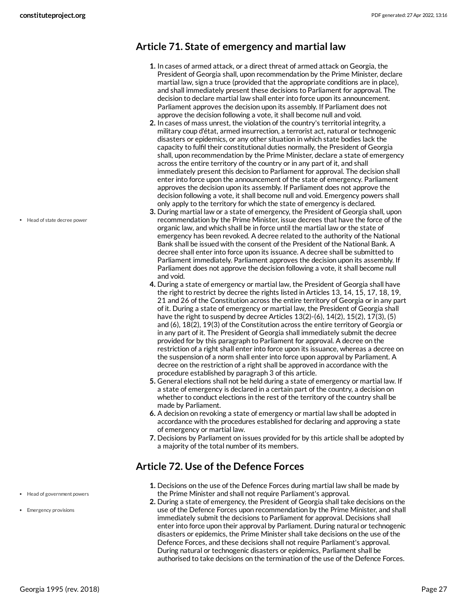### <span id="page-26-0"></span>**Article 71. State of emergency and martial law**

- **1.** In cases of armed attack, or a direct threat of armed attack on Georgia, the President of Georgia shall, upon recommendation by the Prime Minister, declare martial law, sign a truce (provided that the appropriate conditions are in place), and shall immediately present these decisions to Parliament for approval. The decision to declare martial law shall enter into force upon its announcement. Parliament approves the decision upon its assembly. If Parliament does not approve the decision following a vote, it shall become null and void.
- **2.** In cases of mass unrest, the violation of the country's territorial integrity, a military coup d'état, armed insurrection, a terrorist act, natural or technogenic disasters or epidemics, or any other situation in which state bodies lack the capacity to fulfil their constitutional duties normally, the President of Georgia shall, upon recommendation by the Prime Minister, declare a state of emergency across the entire territory of the country or in any part of it, and shall immediately present this decision to Parliament for approval. The decision shall enter into force upon the announcement of the state of emergency. Parliament approves the decision upon its assembly. If Parliament does not approve the decision following a vote, it shall become null and void. Emergency powers shall only apply to the territory for which the state of emergency is declared.
- **3.** During martial law or a state of emergency, the President of Georgia shall, upon recommendation by the Prime Minister, issue decrees that have the force of the organic law, and which shall be in force until the martial law or the state of emergency has been revoked. A decree related to the authority of the National Bank shall be issued with the consent of the President of the National Bank. A decree shall enter into force upon its issuance. A decree shall be submitted to Parliament immediately. Parliament approves the decision upon its assembly. If Parliament does not approve the decision following a vote, it shall become null and void.
- **4.** During a state of emergency or martial law, the President of Georgia shall have the right to restrict by decree the rights listed in Articles 13, 14, 15, 17, 18, 19, 21 and 26 of the Constitution across the entire territory of Georgia or in any part of it. During a state of emergency or martial law, the President of Georgia shall have the right to suspend by decree Articles 13(2)-(6), 14(2), 15(2), 17(3), (5) and (6), 18(2), 19(3) of the Constitution across the entire territory of Georgia or in any part of it. The President of Georgia shall immediately submit the decree provided for by this paragraph to Parliament for approval. A decree on the restriction of a right shall enter into force upon its issuance, whereas a decree on the suspension of a norm shall enter into force upon approval by Parliament. A decree on the restriction of a right shall be approved in accordance with the procedure established by paragraph 3 of this article.
- **5.** General elections shall not be held during a state of emergency or martial law. If a state of emergency is declared in a certain part of the country, a decision on whether to conduct elections in the rest of the territory of the country shall be made by Parliament.
- **6.** A decision on revoking a state of emergency or martial law shall be adopted in accordance with the procedures established for declaring and approving a state of emergency or martial law.
- **7.** Decisions by Parliament on issues provided for by this article shall be adopted by a majority of the total number of its members.

# <span id="page-26-1"></span>**Article 72. Use of the Defence Forces**

- **1.** Decisions on the use of the Defence Forces during martial law shall be made by the Prime Minister and shall not require Parliament's approval.
- **2.** During a state of emergency, the President of Georgia shall take decisions on the use of the Defence Forces upon recommendation by the Prime Minister, and shall immediately submit the decisions to Parliament for approval. Decisions shall enter into force upon their approval by Parliament. During natural or technogenic disasters or epidemics, the Prime Minister shall take decisions on the use of the Defence Forces, and these decisions shall not require Parliament's approval. During natural or technogenic disasters or epidemics, Parliament shall be authorised to take decisions on the termination of the use of the Defence Forces.

Head of state decree power

- Head of government powers
- Emergency provisions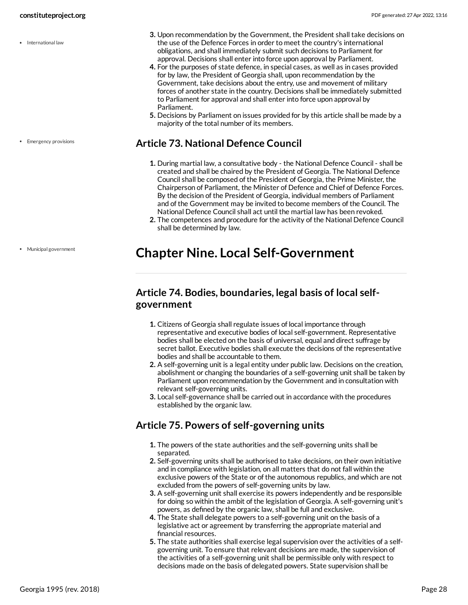• International law

**Emergency provisions** 

Municipal government

- **3.** Upon recommendation by the Government, the President shall take decisions on the use of the Defence Forces in order to meet the country's international obligations, and shall immediately submit such decisions to Parliament for approval. Decisions shall enter into force upon approval by Parliament.
- **4.** For the purposes of state defence, in special cases, as well as in cases provided for by law, the President of Georgia shall, upon recommendation by the Government, take decisions about the entry, use and movement of military forces of another state in the country. Decisions shall be immediately submitted to Parliament for approval and shall enter into force upon approval by Parliament.
- **5.** Decisions by Parliament on issues provided for by this article shall be made by a majority of the total number of its members.

### <span id="page-27-0"></span>**Article 73. National Defence Council**

- **1.** During martial law, a consultative body the National Defence Council shall be created and shall be chaired by the President of Georgia. The National Defence Council shall be composed of the President of Georgia, the Prime Minister, the Chairperson of Parliament, the Minister of Defence and Chief of Defence Forces. By the decision of the President of Georgia, individual members of Parliament and of the Government may be invited to become members of the Council. The National Defence Council shall act until the martial law has been revoked.
- **2.** The competences and procedure for the activity of the National Defence Council shall be determined by law.

# <span id="page-27-1"></span>**Chapter Nine. Local Self-Government**

# <span id="page-27-2"></span>**Article 74. Bodies, boundaries, legal basis of local selfgovernment**

- **1.** Citizens of Georgia shall regulate issues of local importance through representative and executive bodies of local self-government. Representative bodies shall be elected on the basis of universal, equal and direct suffrage by secret ballot. Executive bodies shall execute the decisions of the representative bodies and shall be accountable to them.
- **2.** A self-governing unit is a legal entity under public law. Decisions on the creation, abolishment or changing the boundaries of a self-governing unit shall be taken by Parliament upon recommendation by the Government and in consultation with relevant self-governing units.
- **3.** Local self-governance shall be carried out in accordance with the procedures established by the organic law.

# <span id="page-27-3"></span>**Article 75. Powers of self-governing units**

- **1.** The powers of the state authorities and the self-governing units shall be separated.
- **2.** Self-governing units shall be authorised to take decisions, on their own initiative and in compliance with legislation, on all matters that do not fall within the exclusive powers of the State or of the autonomous republics, and which are not excluded from the powers of self-governing units by law.
- **3.** A self-governing unit shall exercise its powers independently and be responsible for doing so within the ambit of the legislation of Georgia. A self-governing unit's powers, as defined by the organic law, shall be full and exclusive.
- **4.** The State shall delegate powers to a self-governing unit on the basis of a legislative act or agreement by transferring the appropriate material and financial resources.
- **5.** The state authorities shall exercise legal supervision over the activities of a selfgoverning unit. To ensure that relevant decisions are made, the supervision of the activities of a self-governing unit shall be permissible only with respect to decisions made on the basis of delegated powers. State supervision shall be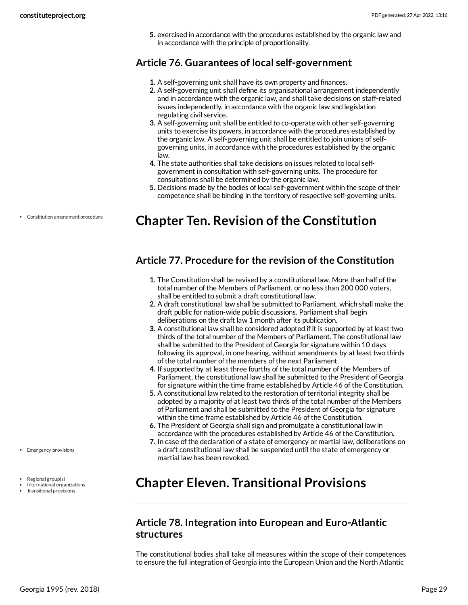**5.** exercised in accordance with the procedures established by the organic law and in accordance with the principle of proportionality.

# <span id="page-28-0"></span>**Article 76. Guarantees of local self-government**

- **1.** A self-governing unit shall have its own property and finances.
- **2.** A self-governing unit shall define its organisational arrangement independently and in accordance with the organic law, and shall take decisions on staff-related issues independently, in accordance with the organic law and legislation regulating civil service.
- **3.** A self-governing unit shall be entitled to co-operate with other self-governing units to exercise its powers, in accordance with the procedures established by the organic law. A self-governing unit shall be entitled to join unions of selfgoverning units, in accordance with the procedures established by the organic law.
- **4.** The state authorities shall take decisions on issues related to local selfgovernment in consultation with self-governing units. The procedure for consultations shall be determined by the organic law.
- **5.** Decisions made by the bodies of local self-government within the scope of their competence shall be binding in the territory of respective self-governing units.

# <span id="page-28-1"></span>**Chapter Ten. Revision ofthe Constitution**

### <span id="page-28-2"></span>**Article 77. Procedure for the revision of the Constitution**

- **1.** The Constitution shall be revised by a constitutional law. More than half of the total number of the Members of Parliament, or no less than 200 000 voters, shall be entitled to submit a draft constitutional law.
- **2.** A draft constitutional law shall be submitted to Parliament, which shall make the draft public for nation-wide public discussions. Parliament shall begin deliberations on the draft law 1 month after its publication.
- **3.** A constitutional law shall be considered adopted if it is supported by at least two thirds of the total number of the Members of Parliament. The constitutional law shall be submitted to the President of Georgia for signature within 10 days following its approval, in one hearing, without amendments by at least two thirds of the total number of the members of the next Parliament.
- **4.** If supported by at least three fourths of the total number of the Members of Parliament, the constitutional law shall be submitted to the President of Georgia for signature within the time frame established by Article 46 of the Constitution.
- **5.** A constitutional law related to the restoration of territorial integrity shall be adopted by a majority of at least two thirds of the total number of the Members of Parliament and shall be submitted to the President of Georgia for signature within the time frame established by Article 46 of the Constitution.
- **6.** The President of Georgia shall sign and promulgate a constitutional law in accordance with the procedures established by Article 46 of the Constitution.
- **7.** In case of the declaration of a state of emergency or martial law, deliberations on a draft constitutional law shall be suspended until the state of emergency or martial law has been revoked.

# <span id="page-28-3"></span>**Chapter Eleven. Transitional Provisions**

# <span id="page-28-4"></span>**Article 78. Integration into European and Euro-Atlantic structures**

The constitutional bodies shall take all measures within the scope of their competences to ensure the full integration of Georgia into the European Union and the North Atlantic

Constitution amendment procedure

• Emergency provisions

- Regional group(s)
- International organizations
- Transitional provisions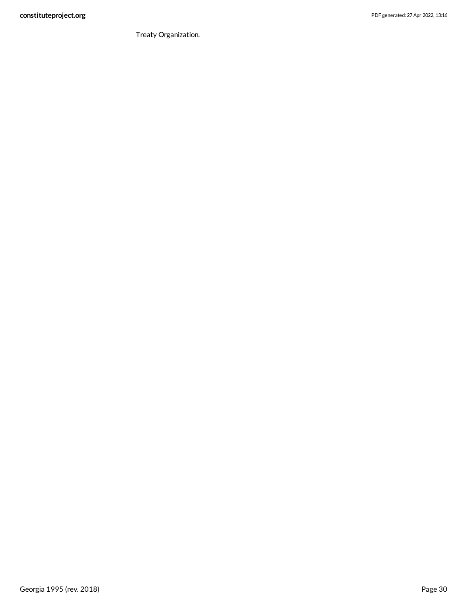Treaty Organization.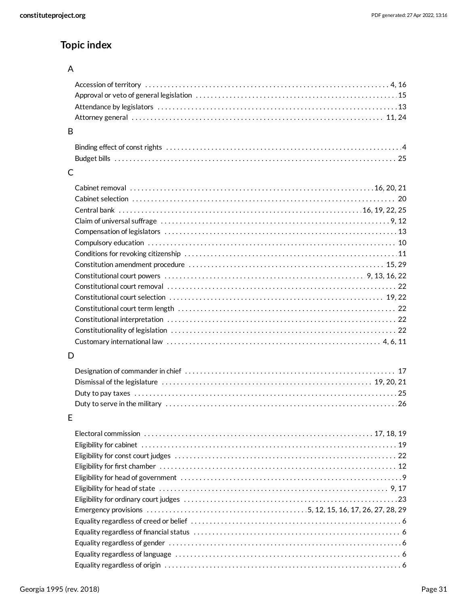# **Topic index**

### A

### B

### C

| Claim of universal suffrage $\dots\dots\dots\dots\dots\dots\dots\dots\dots\dots\dots\dots\dots\dots\dots\dots\dots\dots$ |  |
|--------------------------------------------------------------------------------------------------------------------------|--|
|                                                                                                                          |  |
|                                                                                                                          |  |
|                                                                                                                          |  |
|                                                                                                                          |  |
|                                                                                                                          |  |
|                                                                                                                          |  |
|                                                                                                                          |  |
|                                                                                                                          |  |
|                                                                                                                          |  |
|                                                                                                                          |  |
|                                                                                                                          |  |
|                                                                                                                          |  |

### D

# E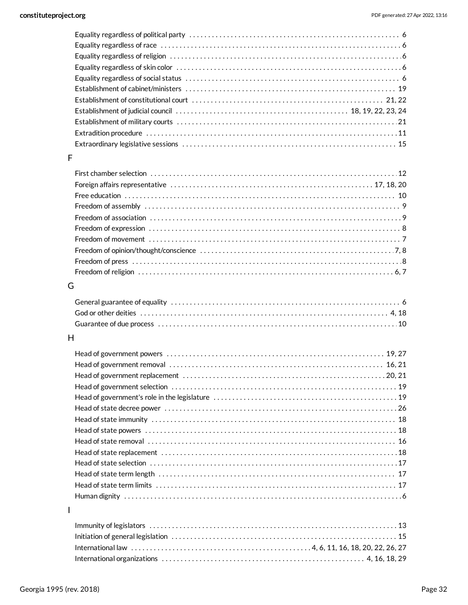### F

| Freedom of press $\dots\dots\dots\dots\dots\dots\dots\dots\dots\dots\dots\dots\dots\dots\dots\dots\dots\dots$ |  |
|---------------------------------------------------------------------------------------------------------------|--|
|                                                                                                               |  |

#### G

#### H

### I

| International organizations $\dots\dots\dots\dots\dots\dots\dots\dots\dots\dots\dots\dots\dots\dots\dots\dots$ 4, 16, 18, 29 |  |
|------------------------------------------------------------------------------------------------------------------------------|--|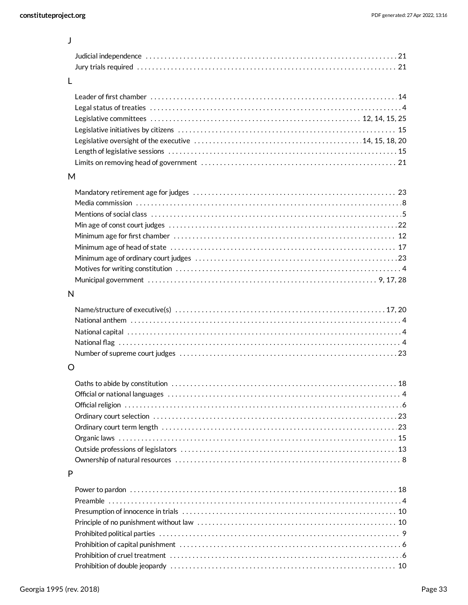J

### L

#### M

### N

### O

### P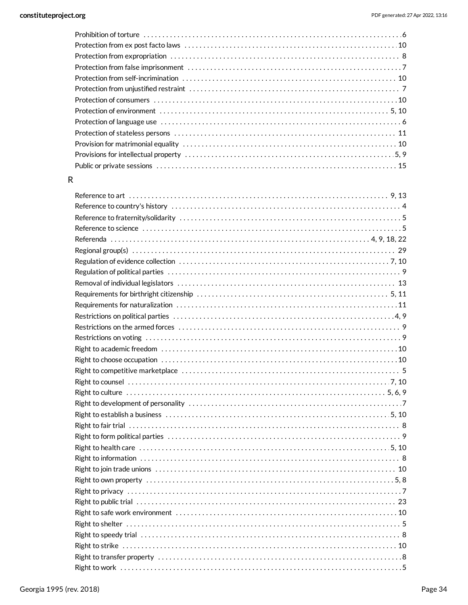#### ${\sf R}$

| Reference to science with the continuum control of the control of the control of the control of the control of |
|----------------------------------------------------------------------------------------------------------------|
|                                                                                                                |
|                                                                                                                |
|                                                                                                                |
|                                                                                                                |
|                                                                                                                |
|                                                                                                                |
|                                                                                                                |
|                                                                                                                |
|                                                                                                                |
|                                                                                                                |
|                                                                                                                |
|                                                                                                                |
|                                                                                                                |
|                                                                                                                |
|                                                                                                                |
|                                                                                                                |
|                                                                                                                |
|                                                                                                                |
|                                                                                                                |
|                                                                                                                |
|                                                                                                                |
|                                                                                                                |
|                                                                                                                |
|                                                                                                                |
|                                                                                                                |
|                                                                                                                |
|                                                                                                                |
|                                                                                                                |
|                                                                                                                |
|                                                                                                                |
|                                                                                                                |